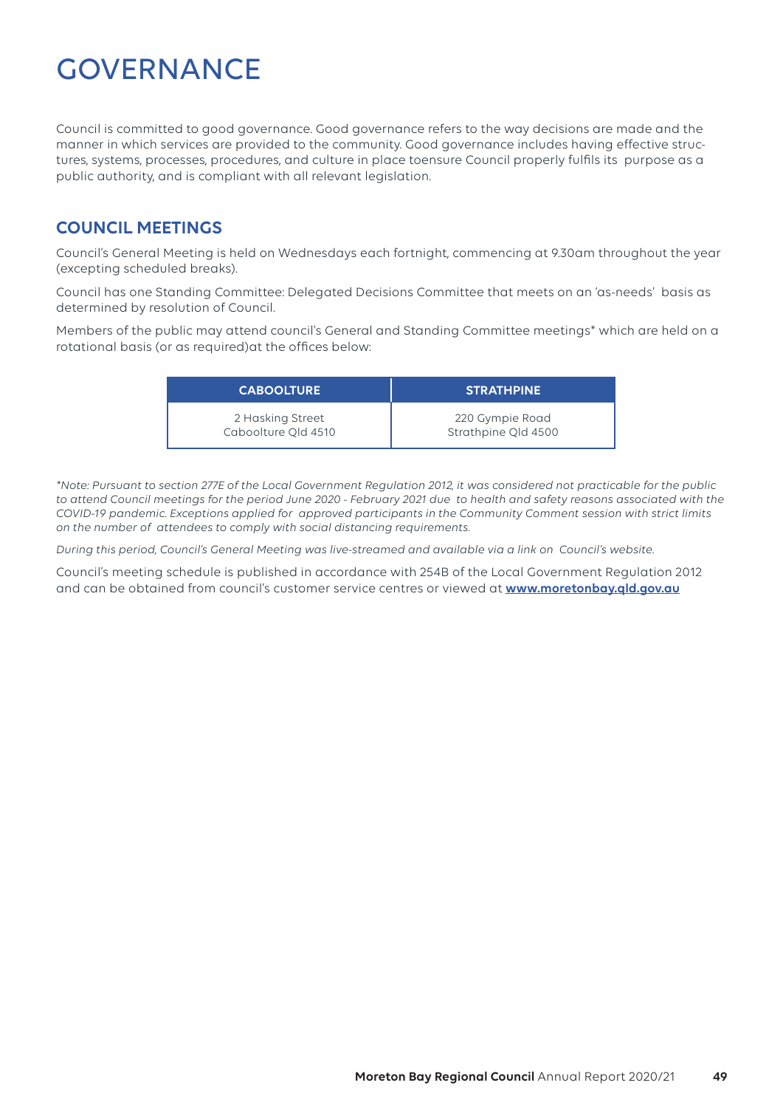# **GOVERNANCE**

Council is committed to good governance. Good governance refers to the way decisions are made and the manner in which services are provided to the community. Good governance includes having effective structures, systems, processes, procedures, and culture in place toensure Council properly fulfils its purpose as a public authority, and is compliant with all relevant legislation.

## **COUNCIL MEETINGS**

Council's General Meeting is held on Wednesdays each fortnight, commencing at 9.30am throughout the year (excepting scheduled breaks).

Council has one Standing Committee: Delegated Decisions Committee that meets on an 'as-needs' basis as determined by resolution of Council.

Members of the public may attend council's General and Standing Committee meetings\* which are held on a rotational basis (or as required)at the offices below:

| <b>CABOOLTURE</b>   | <b>STRATHPINE</b> ' |
|---------------------|---------------------|
| 2 Hasking Street    | 220 Gympie Road     |
| Caboolture Old 4510 | Strathpine Old 4500 |

*\*Note: Pursuant to section 277E of the Local Government Regulation 2012, it was considered not practicable for the public to attend Council meetings for the period June 2020 - February 2021 due to health and safety reasons associated with the COVID-19 pandemic. Exceptions applied for approved participants in the Community Comment session with strict limits on the number of attendees to comply with social distancing requirements.*

*During this period, Council's General Meeting was live-streamed and available via a link on Council's website.*

Council's meeting schedule is published in accordance with 254B of the Local Government Regulation 2012 and can be obtained from council's customer service centres or viewed at **www.moretonbay.qld.gov.au**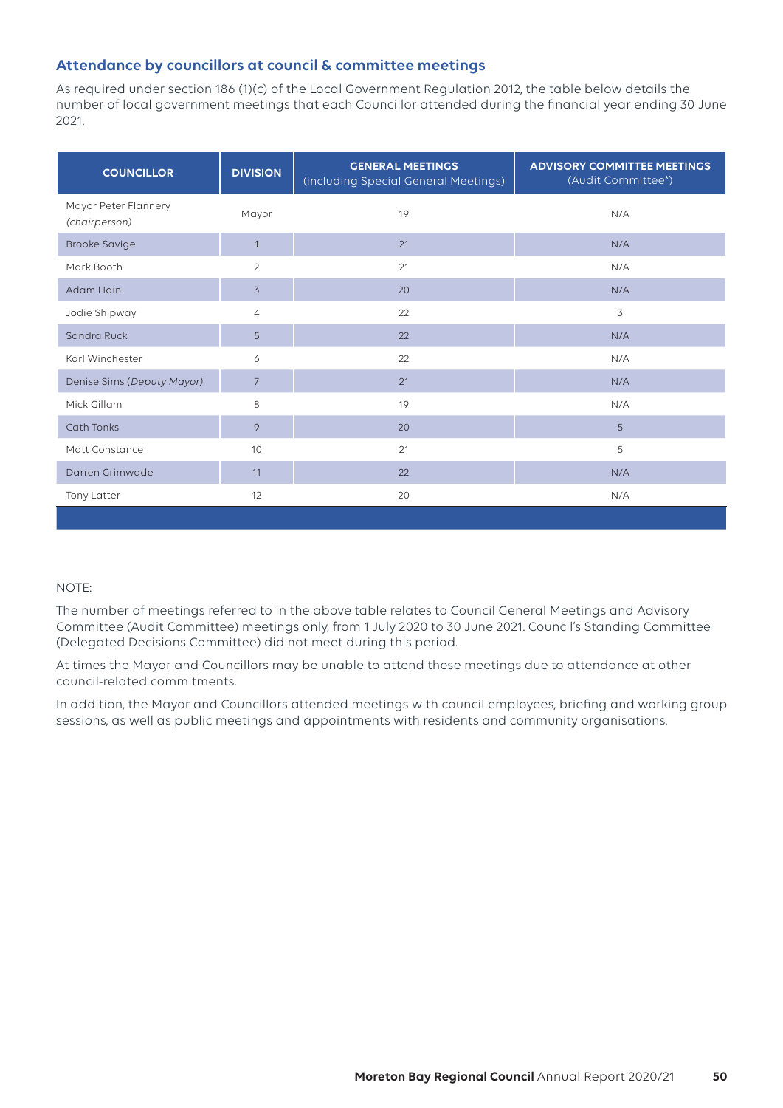## **Attendance by councillors at council & committee meetings**

As required under section 186 (1)(c) of the Local Government Regulation 2012, the table below details the number of local government meetings that each Councillor attended during the financial year ending 30 June 2021.

| <b>COUNCILLOR</b>                     | <b>DIVISION</b> | <b>GENERAL MEETINGS</b><br>(including Special General Meetings) | <b>ADVISORY COMMITTEE MEETINGS</b><br>(Audit Committee*) |
|---------------------------------------|-----------------|-----------------------------------------------------------------|----------------------------------------------------------|
| Mayor Peter Flannery<br>(chairperson) | Mayor           | 19                                                              | N/A                                                      |
| <b>Brooke Savige</b>                  | $\overline{1}$  | 21                                                              | N/A                                                      |
| Mark Booth                            | $\overline{2}$  | 21                                                              | N/A                                                      |
| Adam Hain                             | $\overline{3}$  | 20                                                              | N/A                                                      |
| Jodie Shipway                         | $\overline{4}$  | 22                                                              | 3                                                        |
| Sandra Ruck                           | 5               | 22                                                              | N/A                                                      |
| Karl Winchester                       | 6               | 22                                                              | N/A                                                      |
| Denise Sims (Deputy Mayor)            | $\overline{7}$  | 21                                                              | N/A                                                      |
| Mick Gillam                           | 8               | 19                                                              | N/A                                                      |
| <b>Cath Tonks</b>                     | 9               | 20                                                              | 5                                                        |
| Matt Constance                        | 10              | 21                                                              | 5                                                        |
| Darren Grimwade                       | 11              | 22                                                              | N/A                                                      |
| Tony Latter                           | 12              | 20                                                              | N/A                                                      |
|                                       |                 |                                                                 |                                                          |

#### NOTE:

The number of meetings referred to in the above table relates to Council General Meetings and Advisory Committee (Audit Committee) meetings only, from 1 July 2020 to 30 June 2021. Council's Standing Committee (Delegated Decisions Committee) did not meet during this period.

At times the Mayor and Councillors may be unable to attend these meetings due to attendance at other council-related commitments.

In addition, the Mayor and Councillors attended meetings with council employees, briefing and working group sessions, as well as public meetings and appointments with residents and community organisations.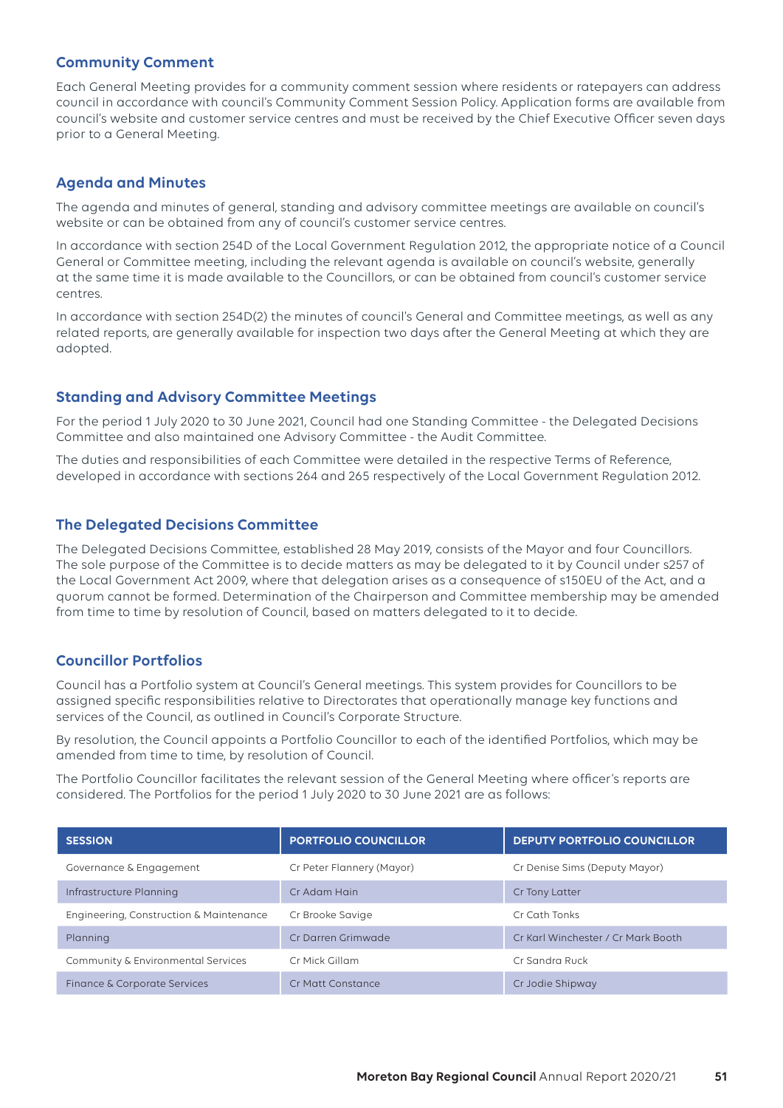#### **Community Comment**

Each General Meeting provides for a community comment session where residents or ratepayers can address council in accordance with council's Community Comment Session Policy. Application forms are available from council's website and customer service centres and must be received by the Chief Executive Officer seven days prior to a General Meeting.

#### **Agenda and Minutes**

The agenda and minutes of general, standing and advisory committee meetings are available on council's website or can be obtained from any of council's customer service centres.

In accordance with section 254D of the Local Government Regulation 2012, the appropriate notice of a Council General or Committee meeting, including the relevant agenda is available on council's website, generally at the same time it is made available to the Councillors, or can be obtained from council's customer service centres.

In accordance with section 254D(2) the minutes of council's General and Committee meetings, as well as any related reports, are generally available for inspection two days after the General Meeting at which they are adopted.

#### **Standing and Advisory Committee Meetings**

For the period 1 July 2020 to 30 June 2021, Council had one Standing Committee - the Delegated Decisions Committee and also maintained one Advisory Committee - the Audit Committee.

The duties and responsibilities of each Committee were detailed in the respective Terms of Reference, developed in accordance with sections 264 and 265 respectively of the Local Government Regulation 2012.

#### **The Delegated Decisions Committee**

The Delegated Decisions Committee, established 28 May 2019, consists of the Mayor and four Councillors. The sole purpose of the Committee is to decide matters as may be delegated to it by Council under s257 of the Local Government Act 2009, where that delegation arises as a consequence of s150EU of the Act, and a quorum cannot be formed. Determination of the Chairperson and Committee membership may be amended from time to time by resolution of Council, based on matters delegated to it to decide.

#### **Councillor Portfolios**

Council has a Portfolio system at Council's General meetings. This system provides for Councillors to be assigned specific responsibilities relative to Directorates that operationally manage key functions and services of the Council, as outlined in Council's Corporate Structure.

By resolution, the Council appoints a Portfolio Councillor to each of the identified Portfolios, which may be amended from time to time, by resolution of Council.

The Portfolio Councillor facilitates the relevant session of the General Meeting where officer's reports are considered. The Portfolios for the period 1 July 2020 to 30 June 2021 are as follows:

| <b>SESSION</b>                          | <b>PORTFOLIO COUNCILLOR</b> | <b>DEPUTY PORTFOLIO COUNCILLOR</b> |
|-----------------------------------------|-----------------------------|------------------------------------|
| Governance & Engagement                 | Cr Peter Flannery (Mayor)   | Cr Denise Sims (Deputy Mayor)      |
| Infrastructure Planning                 | Cr Adam Hain                | Cr Tony Latter                     |
| Engineering, Construction & Maintenance | Cr Brooke Savige            | Cr Cath Tonks                      |
| Planning                                | Cr Darren Grimwade          | Cr Karl Winchester / Cr Mark Booth |
| Community & Environmental Services      | Cr Mick Gillam              | Cr Sandra Ruck                     |
| Finance & Corporate Services            | Cr Matt Constance           | Cr Jodie Shipway                   |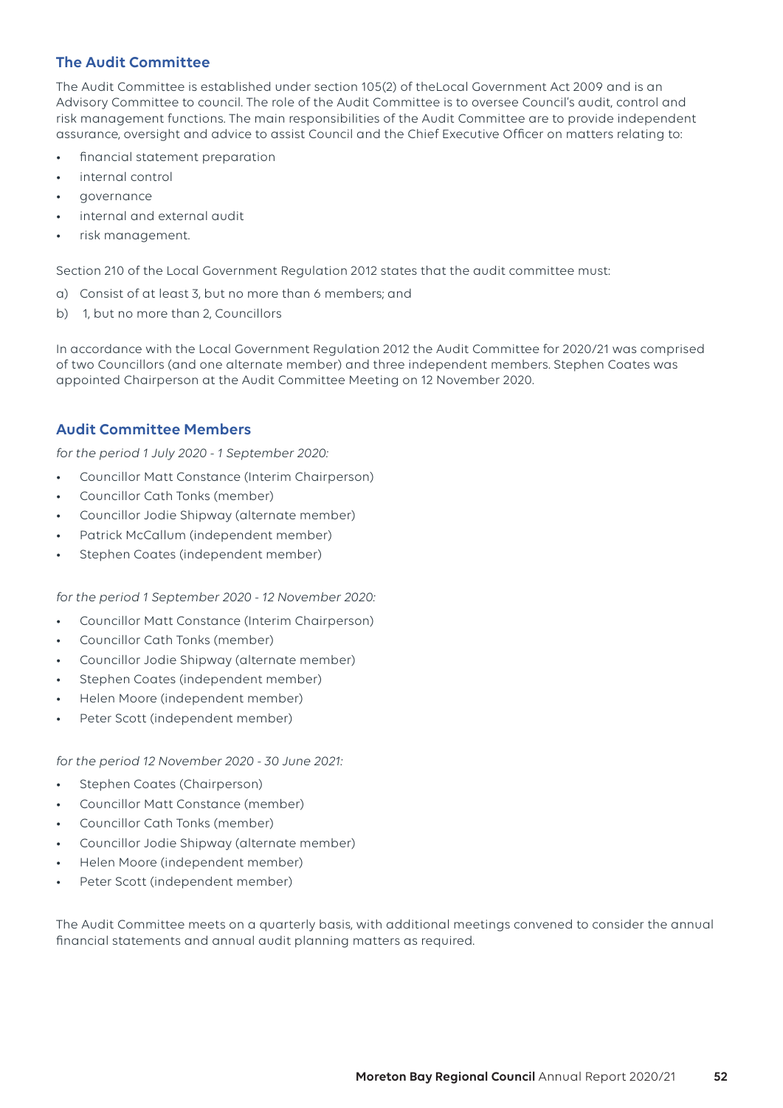## **The Audit Committee**

The Audit Committee is established under section 105(2) of theLocal Government Act 2009 and is an Advisory Committee to council. The role of the Audit Committee is to oversee Council's audit, control and risk management functions. The main responsibilities of the Audit Committee are to provide independent assurance, oversight and advice to assist Council and the Chief Executive Officer on matters relating to:

- financial statement preparation
- internal control
- governance
- internal and external audit
- risk management.

Section 210 of the Local Government Regulation 2012 states that the audit committee must:

- a) Consist of at least 3, but no more than 6 members; and
- b) 1, but no more than 2, Councillors

In accordance with the Local Government Regulation 2012 the Audit Committee for 2020/21 was comprised of two Councillors (and one alternate member) and three independent members. Stephen Coates was appointed Chairperson at the Audit Committee Meeting on 12 November 2020.

#### **Audit Committee Members**

*for the period 1 July 2020 - 1 September 2020:*

- Councillor Matt Constance (Interim Chairperson)
- Councillor Cath Tonks (member)
- Councillor Jodie Shipway (alternate member)
- Patrick McCallum (independent member)
- Stephen Coates (independent member)

*for the period 1 September 2020 - 12 November 2020:*

- Councillor Matt Constance (Interim Chairperson)
- Councillor Cath Tonks (member)
- Councillor Jodie Shipway (alternate member)
- Stephen Coates (independent member)
- Helen Moore (independent member)
- Peter Scott (independent member)

*for the period 12 November 2020 - 30 June 2021:*

- Stephen Coates (Chairperson)
- Councillor Matt Constance (member)
- Councillor Cath Tonks (member)
- Councillor Jodie Shipway (alternate member)
- Helen Moore (independent member)
- Peter Scott (independent member)

The Audit Committee meets on a quarterly basis, with additional meetings convened to consider the annual financial statements and annual audit planning matters as required.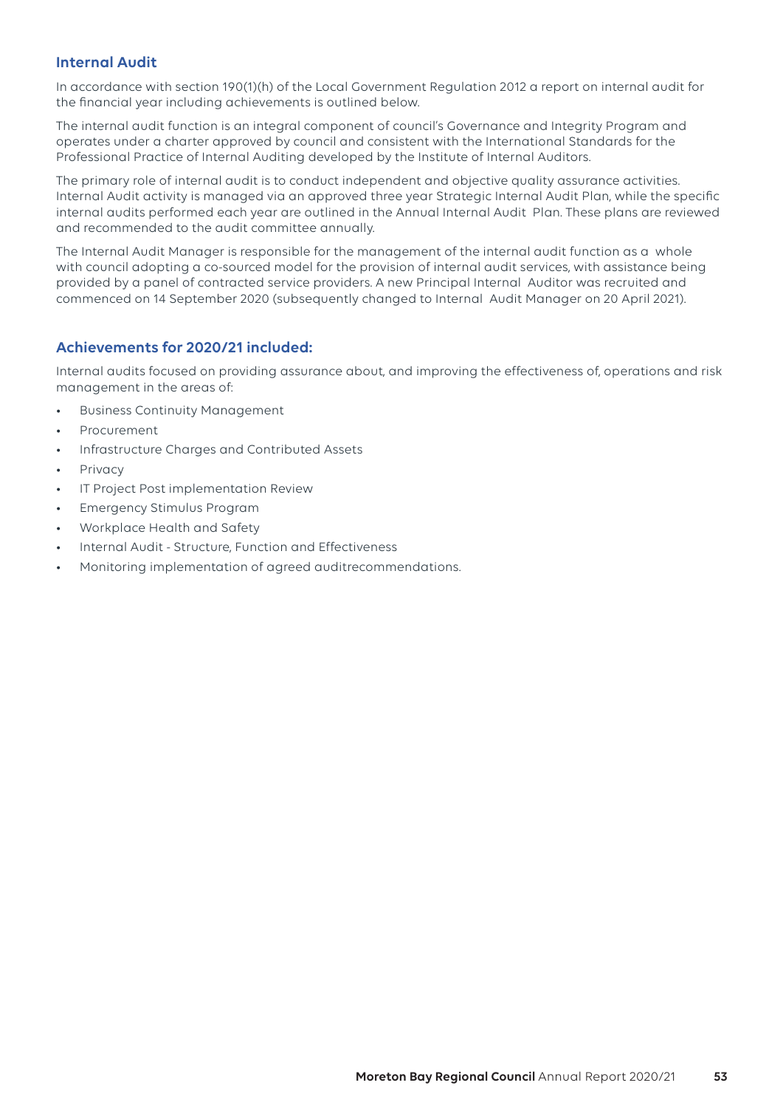## **Internal Audit**

In accordance with section 190(1)(h) of the Local Government Regulation 2012 a report on internal audit for the financial year including achievements is outlined below.

The internal audit function is an integral component of council's Governance and Integrity Program and operates under a charter approved by council and consistent with the International Standards for the Professional Practice of Internal Auditing developed by the Institute of Internal Auditors.

The primary role of internal audit is to conduct independent and objective quality assurance activities. Internal Audit activity is managed via an approved three year Strategic Internal Audit Plan, while the specific internal audits performed each year are outlined in the Annual Internal Audit Plan. These plans are reviewed and recommended to the audit committee annually.

The Internal Audit Manager is responsible for the management of the internal audit function as a whole with council adopting a co-sourced model for the provision of internal audit services, with assistance being provided by a panel of contracted service providers. A new Principal Internal Auditor was recruited and commenced on 14 September 2020 (subsequently changed to Internal Audit Manager on 20 April 2021).

#### **Achievements for 2020/21 included:**

Internal audits focused on providing assurance about, and improving the effectiveness of, operations and risk management in the areas of:

- Business Continuity Management
- Procurement
- Infrastructure Charges and Contributed Assets
- **Privacy**
- IT Project Post implementation Review
- Emergency Stimulus Program
- Workplace Health and Safety
- Internal Audit Structure, Function and Effectiveness
- Monitoring implementation of agreed auditrecommendations.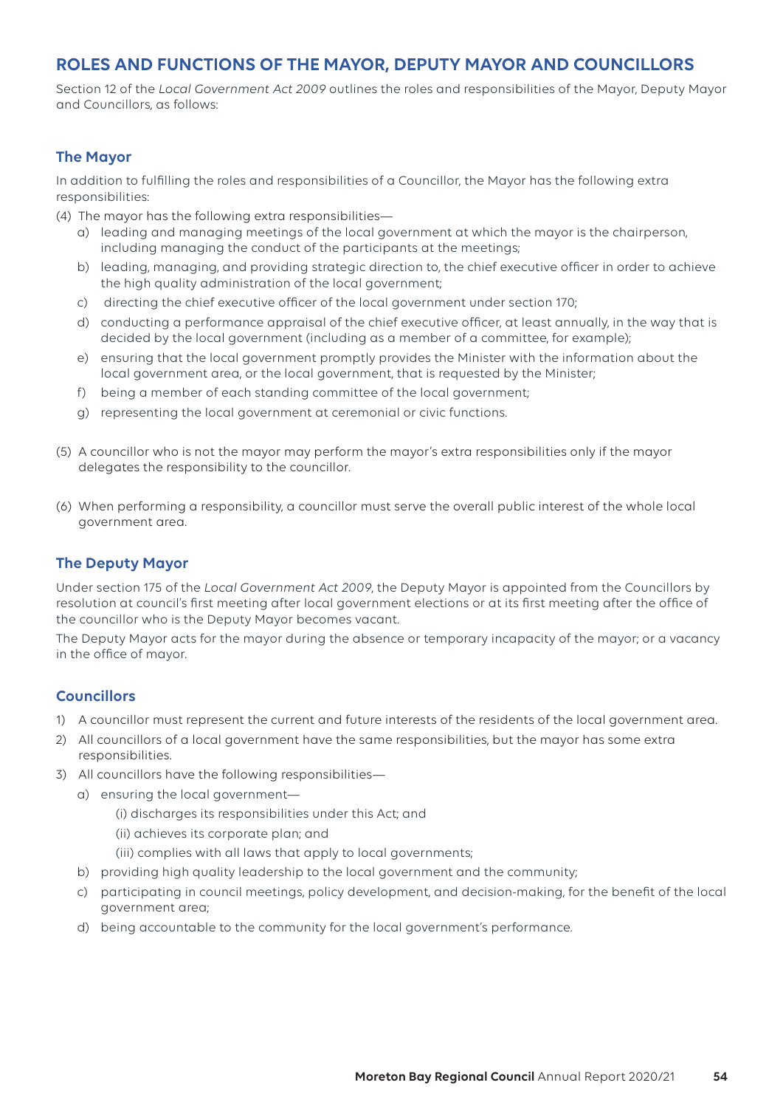# **ROLES AND FUNCTIONS OF THE MAYOR, DEPUTY MAYOR AND COUNCILLORS**

Section 12 of the *Local Government Act 2009* outlines the roles and responsibilities of the Mayor, Deputy Mayor and Councillors, as follows:

#### **The Mayor**

In addition to fulfilling the roles and responsibilities of a Councillor, the Mayor has the following extra responsibilities:

(4) The mayor has the following extra responsibilities—

- a) leading and managing meetings of the local government at which the mayor is the chairperson, including managing the conduct of the participants at the meetings;
- b) leading, managing, and providing strategic direction to, the chief executive officer in order to achieve the high quality administration of the local government;
- c) directing the chief executive officer of the local government under section 170;
- d) conducting a performance appraisal of the chief executive officer, at least annually, in the way that is decided by the local government (including as a member of a committee, for example);
- e) ensuring that the local government promptly provides the Minister with the information about the local government area, or the local government, that is requested by the Minister;
- f) being a member of each standing committee of the local government;
- g) representing the local government at ceremonial or civic functions.
- (5) A councillor who is not the mayor may perform the mayor's extra responsibilities only if the mayor delegates the responsibility to the councillor.
- (6) When performing a responsibility, a councillor must serve the overall public interest of the whole local government area.

#### **The Deputy Mayor**

Under section 175 of the *Local Government Act 2009*, the Deputy Mayor is appointed from the Councillors by resolution at council's first meeting after local government elections or at its first meeting after the office of the councillor who is the Deputy Mayor becomes vacant.

The Deputy Mayor acts for the mayor during the absence or temporary incapacity of the mayor; or a vacancy in the office of mayor.

#### **Councillors**

- 1) A councillor must represent the current and future interests of the residents of the local government area.
- 2) All councillors of a local government have the same responsibilities, but the mayor has some extra responsibilities.
- 3) All councillors have the following responsibilities
	- a) ensuring the local government—
		- (i) discharges its responsibilities under this Act; and
		- (ii) achieves its corporate plan; and
		- (iii) complies with all laws that apply to local governments;
	- b) providing high quality leadership to the local government and the community;
	- c) participating in council meetings, policy development, and decision-making, for the benefit of the local government area;
	- d) being accountable to the community for the local government's performance.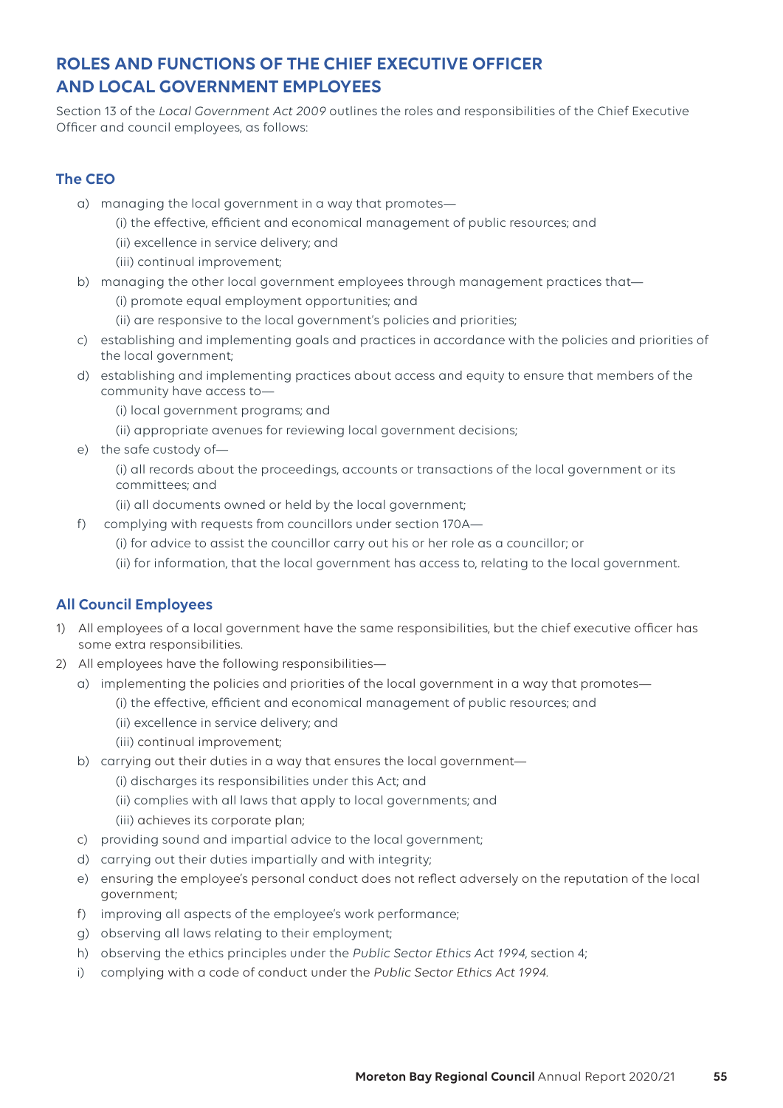# **ROLES AND FUNCTIONS OF THE CHIEF EXECUTIVE OFFICER AND LOCAL GOVERNMENT EMPLOYEES**

Section 13 of the *Local Government Act 2009* outlines the roles and responsibilities of the Chief Executive Officer and council employees, as follows:

## **The CEO**

- a) managing the local government in a way that promotes—
	- (i) the effective, efficient and economical management of public resources; and
	- (ii) excellence in service delivery; and
	- (iii) continual improvement;
- b) managing the other local government employees through management practices that—
	- (i) promote equal employment opportunities; and
	- (ii) are responsive to the local government's policies and priorities;
- c) establishing and implementing goals and practices in accordance with the policies and priorities of the local government;
- d) establishing and implementing practices about access and equity to ensure that members of the community have access to—
	- (i) local government programs; and
	- (ii) appropriate avenues for reviewing local government decisions;
- e) the safe custody of—

(i) all records about the proceedings, accounts or transactions of the local government or its committees; and

- (ii) all documents owned or held by the local government;
- f) complying with requests from councillors under section 170A—
	- (i) for advice to assist the councillor carry out his or her role as a councillor; or
	- (ii) for information, that the local government has access to, relating to the local government.

## **All Council Employees**

- 1) All employees of a local government have the same responsibilities, but the chief executive officer has some extra responsibilities.
- 2) All employees have the following responsibilities
	- a) implementing the policies and priorities of the local government in a way that promotes—
		- (i) the effective, efficient and economical management of public resources; and
		- (ii) excellence in service delivery; and
		- (iii) continual improvement;
	- b) carrying out their duties in a way that ensures the local government—
		- (i) discharges its responsibilities under this Act; and
		- (ii) complies with all laws that apply to local governments; and
		- (iii) achieves its corporate plan;
	- c) providing sound and impartial advice to the local government;
	- d) carrying out their duties impartially and with integrity;
	- e) ensuring the employee's personal conduct does not reflect adversely on the reputation of the local government;
	- f) improving all aspects of the employee's work performance;
	- g) observing all laws relating to their employment;
	- h) observing the ethics principles under the *Public Sector Ethics Act 1994*, section 4;
	- i) complying with a code of conduct under the *Public Sector Ethics Act 1994.*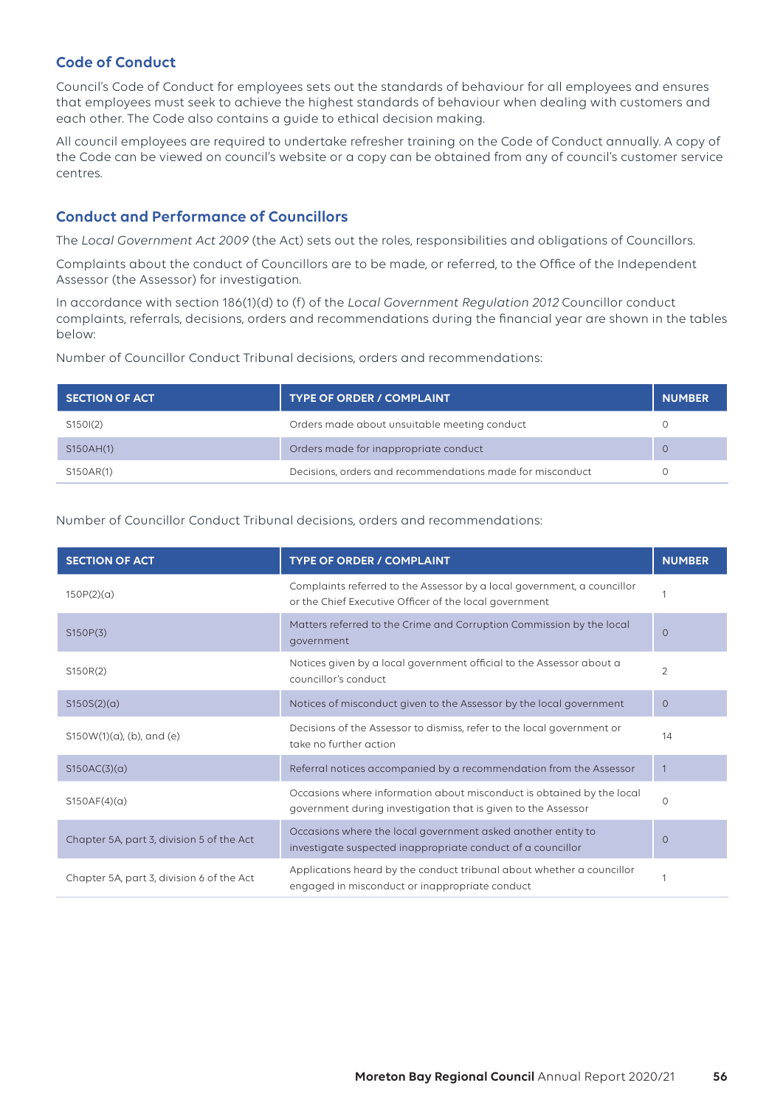## **Code of Conduct**

Council's Code of Conduct for employees sets out the standards of behaviour for all employees and ensures that employees must seek to achieve the highest standards of behaviour when dealing with customers and each other. The Code also contains a guide to ethical decision making.

All council employees are required to undertake refresher training on the Code of Conduct annually. A copy of the Code can be viewed on council's website or a copy can be obtained from any of council's customer service centres.

## **Conduct and Performance of Councillors**

The *Local Government Act 2009* (the Act) sets out the roles, responsibilities and obligations of Councillors.

Complaints about the conduct of Councillors are to be made, or referred, to the Office of the Independent Assessor (the Assessor) for investigation.

In accordance with section 186(1)(d) to (f) of the *Local Government Regulation 2012* Councillor conduct complaints, referrals, decisions, orders and recommendations during the financial year are shown in the tables below:

Number of Councillor Conduct Tribunal decisions, orders and recommendations:

| <b>SECTION OF ACT</b> | <b>TYPE OF ORDER / COMPLAINT</b>                          | <b>NUMBER</b> |
|-----------------------|-----------------------------------------------------------|---------------|
| S150I(2)              | Orders made about unsuitable meeting conduct              |               |
| S150AH(1)             | Orders made for inappropriate conduct                     | $\Omega$      |
| S150AR(1)             | Decisions, orders and recommendations made for misconduct |               |

Number of Councillor Conduct Tribunal decisions, orders and recommendations:

| <b>SECTION OF ACT</b>                     | <b>TYPE OF ORDER / COMPLAINT</b>                                                                                                       | <b>NUMBER</b>  |
|-------------------------------------------|----------------------------------------------------------------------------------------------------------------------------------------|----------------|
| 150P(2)(a)                                | Complaints referred to the Assessor by a local government, a councillor<br>or the Chief Executive Officer of the local government      |                |
| S150P(3)                                  | Matters referred to the Crime and Corruption Commission by the local<br>government                                                     | $\Omega$       |
| S150R(2)                                  | Notices given by a local government official to the Assessor about a<br>councillor's conduct                                           | $\overline{2}$ |
| S150S(2)(a)                               | Notices of misconduct given to the Assessor by the local government                                                                    | $\circ$        |
| $S150W(1)(a)$ , (b), and (e)              | Decisions of the Assessor to dismiss, refer to the local government or<br>take no further action                                       | 14             |
| S150AC(3)(a)                              | Referral notices accompanied by a recommendation from the Assessor                                                                     |                |
| S150AF(4)(a)                              | Occasions where information about misconduct is obtained by the local<br>government during investigation that is given to the Assessor | $\Omega$       |
| Chapter 5A, part 3, division 5 of the Act | Occasions where the local government asked another entity to<br>investigate suspected inappropriate conduct of a councillor            | $\Omega$       |
| Chapter 5A, part 3, division 6 of the Act | Applications heard by the conduct tribunal about whether a councillor<br>engaged in misconduct or inappropriate conduct                |                |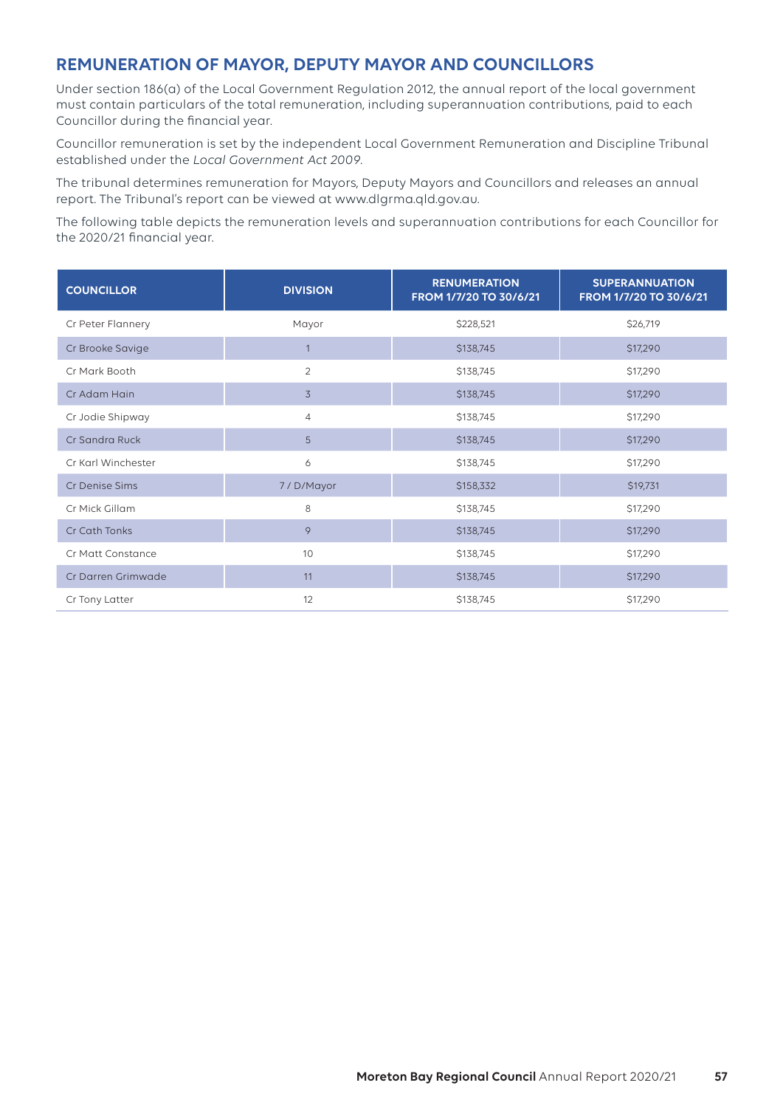## **REMUNERATION OF MAYOR, DEPUTY MAYOR AND COUNCILLORS**

Under section 186(a) of the Local Government Regulation 2012, the annual report of the local government must contain particulars of the total remuneration, including superannuation contributions, paid to each Councillor during the financial year.

Councillor remuneration is set by the independent Local Government Remuneration and Discipline Tribunal established under the *Local Government Act 2009*.

The tribunal determines remuneration for Mayors, Deputy Mayors and Councillors and releases an annual report. The Tribunal's report can be viewed at www.dlgrma.qld.gov.au.

The following table depicts the remuneration levels and superannuation contributions for each Councillor for the 2020/21 financial year.

| <b>COUNCILLOR</b>  | <b>DIVISION</b> | <b>RENUMERATION</b><br>FROM 1/7/20 TO 30/6/21 | <b>SUPERANNUATION</b><br>FROM 1/7/20 TO 30/6/21 |
|--------------------|-----------------|-----------------------------------------------|-------------------------------------------------|
| Cr Peter Flannery  | Mayor           | \$228,521                                     | \$26,719                                        |
| Cr Brooke Savige   |                 | \$138,745                                     | \$17,290                                        |
| Cr Mark Booth      | $\overline{2}$  | \$138,745                                     | \$17,290                                        |
| Cr Adam Hain       | $\overline{3}$  | \$138,745                                     | \$17,290                                        |
| Cr Jodie Shipway   | $\overline{4}$  | \$138,745                                     | \$17,290                                        |
| Cr Sandra Ruck     | 5               | \$138,745                                     | \$17,290                                        |
| Cr Karl Winchester | 6               | \$138,745                                     | \$17,290                                        |
| Cr Denise Sims     | 7/D/Mayor       | \$158,332                                     | \$19,731                                        |
| Cr Mick Gillam     | 8               | \$138,745                                     | \$17,290                                        |
| Cr Cath Tonks      | 9               | \$138,745                                     | \$17,290                                        |
| Cr Matt Constance  | 10              | \$138,745                                     | \$17,290                                        |
| Cr Darren Grimwade | 11              | \$138,745                                     | \$17,290                                        |
| Cr Tony Latter     | 12              | \$138,745                                     | \$17,290                                        |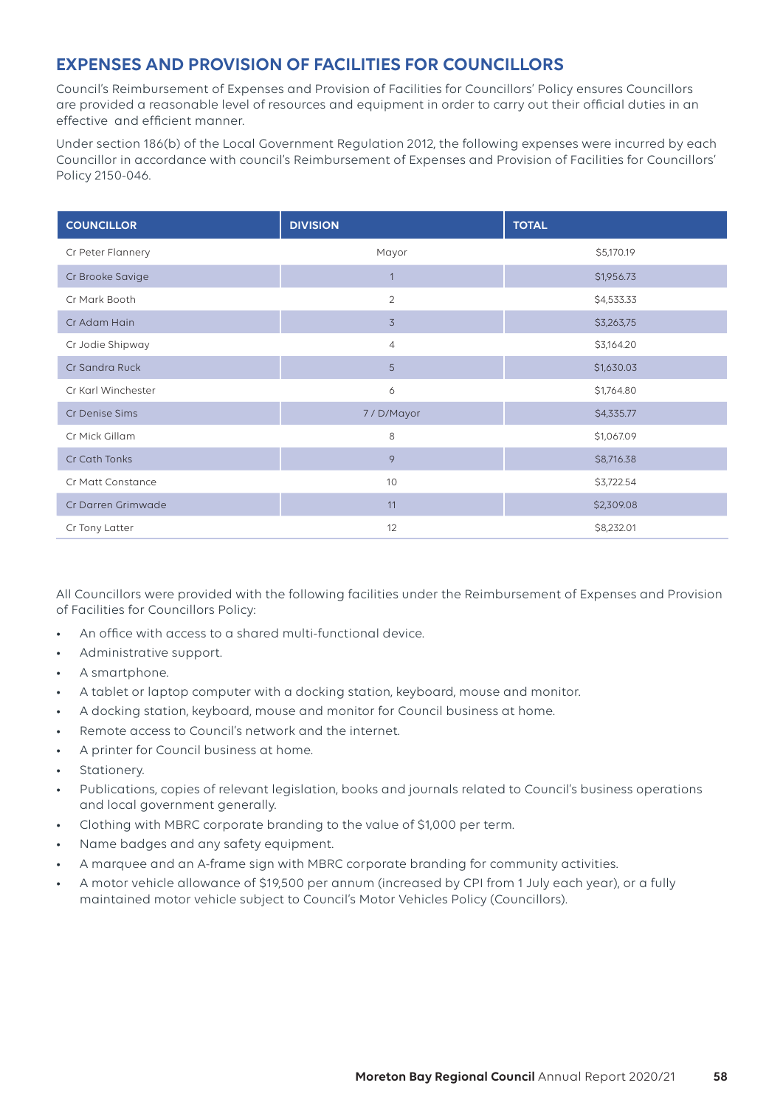# **EXPENSES AND PROVISION OF FACILITIES FOR COUNCILLORS**

Council's Reimbursement of Expenses and Provision of Facilities for Councillors' Policy ensures Councillors are provided a reasonable level of resources and equipment in order to carry out their official duties in an effective and efficient manner.

Under section 186(b) of the Local Government Regulation 2012, the following expenses were incurred by each Councillor in accordance with council's Reimbursement of Expenses and Provision of Facilities for Councillors' Policy 2150-046.

| <b>COUNCILLOR</b>  | <b>DIVISION</b> | <b>TOTAL</b> |
|--------------------|-----------------|--------------|
| Cr Peter Flannery  | Mayor           | \$5,170.19   |
| Cr Brooke Savige   | $\overline{1}$  | \$1,956.73   |
| Cr Mark Booth      | $\overline{2}$  | \$4,533.33   |
| Cr Adam Hain       | $\overline{3}$  | \$3,263,75   |
| Cr Jodie Shipway   | $\overline{4}$  | \$3,164.20   |
| Cr Sandra Ruck     | 5               | \$1,630.03   |
| Cr Karl Winchester | 6               | \$1,764.80   |
| Cr Denise Sims     | 7/D/Mayor       | \$4,335.77   |
| Cr Mick Gillam     | 8               | \$1,067.09   |
| Cr Cath Tonks      | 9               | \$8,716.38   |
| Cr Matt Constance  | 10              | \$3,722.54   |
| Cr Darren Grimwade | 11              | \$2,309.08   |
| Cr Tony Latter     | 12              | \$8,232.01   |

All Councillors were provided with the following facilities under the Reimbursement of Expenses and Provision of Facilities for Councillors Policy:

- An office with access to a shared multi-functional device.
- Administrative support.
- A smartphone.
- A tablet or laptop computer with a docking station, keyboard, mouse and monitor.
- A docking station, keyboard, mouse and monitor for Council business at home.
- Remote access to Council's network and the internet.
- A printer for Council business at home.
- Stationery.
- Publications, copies of relevant legislation, books and journals related to Council's business operations and local government generally.
- Clothing with MBRC corporate branding to the value of \$1,000 per term.
- Name badges and any safety equipment.
- A marquee and an A-frame sign with MBRC corporate branding for community activities.
- A motor vehicle allowance of \$19,500 per annum (increased by CPI from 1 July each year), or a fully maintained motor vehicle subject to Council's Motor Vehicles Policy (Councillors).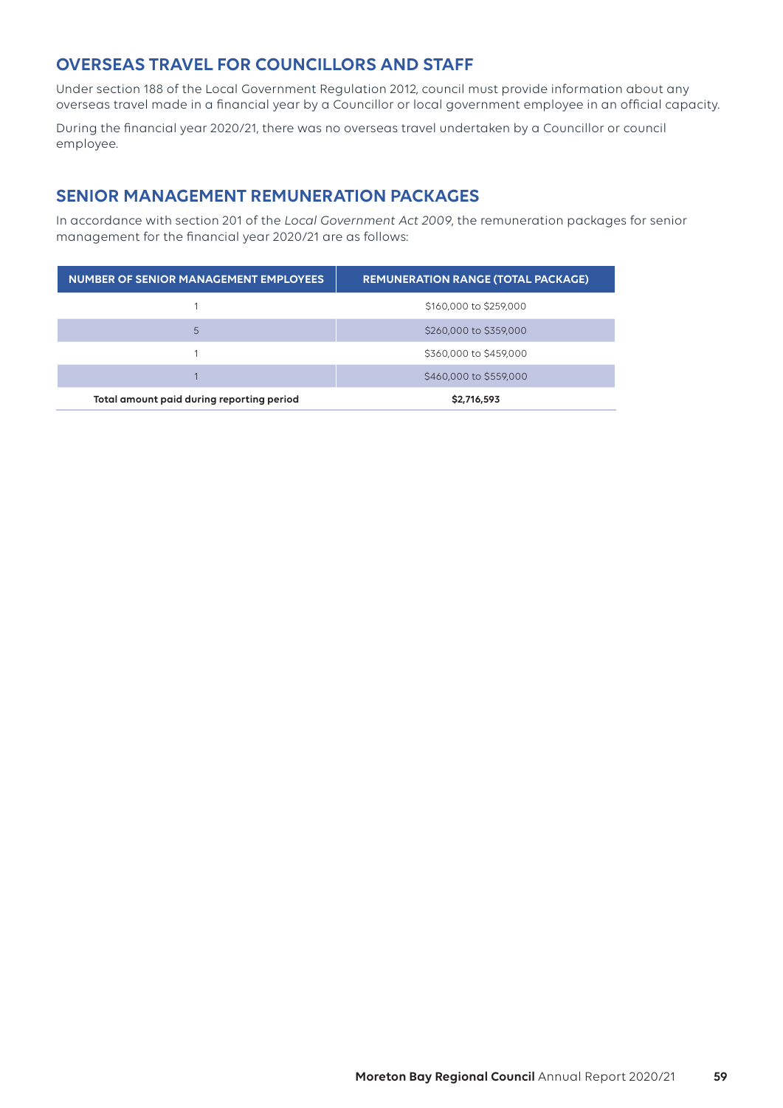## **OVERSEAS TRAVEL FOR COUNCILLORS AND STAFF**

Under section 188 of the Local Government Regulation 2012, council must provide information about any overseas travel made in a financial year by a Councillor or local government employee in an official capacity.

During the financial year 2020/21, there was no overseas travel undertaken by a Councillor or council employee.

## **SENIOR MANAGEMENT REMUNERATION PACKAGES**

In accordance with section 201 of the *Local Government Act 2009*, the remuneration packages for senior management for the financial year 2020/21 are as follows:

| NUMBER OF SENIOR MANAGEMENT EMPLOYEES     | <b>REMUNERATION RANGE (TOTAL PACKAGE)</b> |
|-------------------------------------------|-------------------------------------------|
|                                           | \$160,000 to \$259,000                    |
| 5                                         | \$260,000 to \$359,000                    |
|                                           | \$360,000 to \$459,000                    |
|                                           | \$460,000 to \$559,000                    |
| Total amount paid during reporting period | \$2,716,593                               |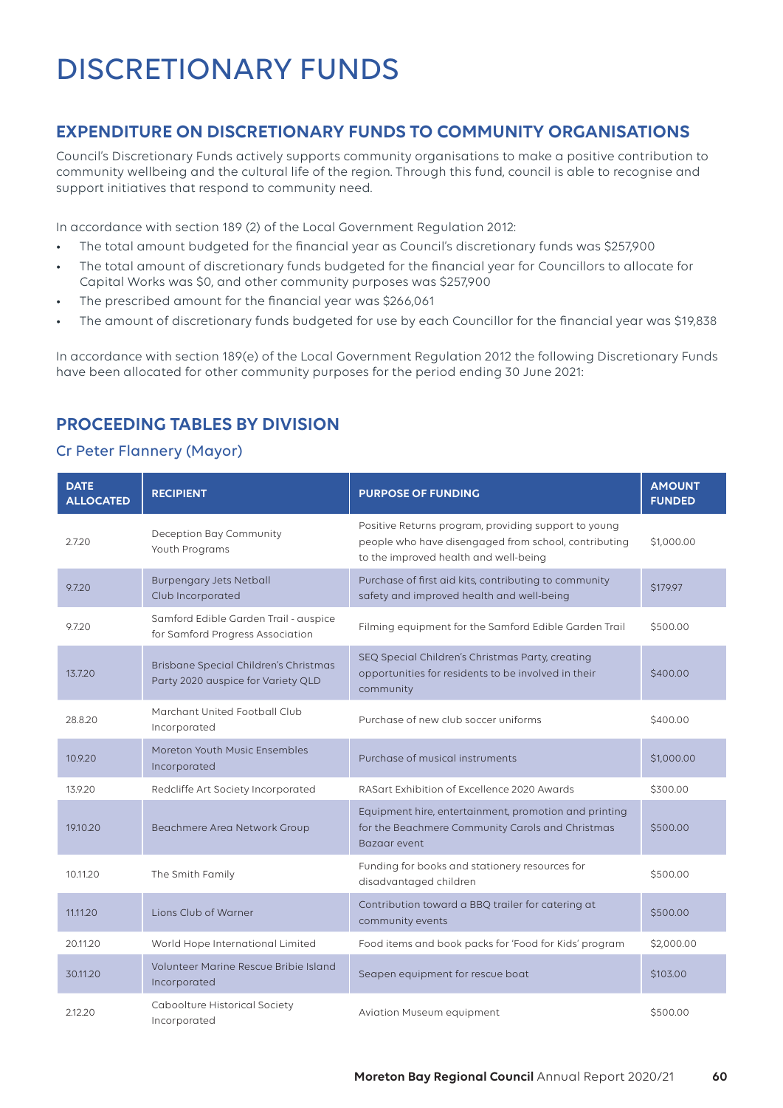# DISCRETIONARY FUNDS

# **EXPENDITURE ON DISCRETIONARY FUNDS TO COMMUNITY ORGANISATIONS**

Council's Discretionary Funds actively supports community organisations to make a positive contribution to community wellbeing and the cultural life of the region. Through this fund, council is able to recognise and support initiatives that respond to community need.

In accordance with section 189 (2) of the Local Government Regulation 2012:

- The total amount budgeted for the financial year as Council's discretionary funds was \$257,900
- The total amount of discretionary funds budgeted for the financial year for Councillors to allocate for Capital Works was \$0, and other community purposes was \$257,900
- The prescribed amount for the financial year was \$266,061
- The amount of discretionary funds budgeted for use by each Councillor for the financial year was \$19,838

In accordance with section 189(e) of the Local Government Regulation 2012 the following Discretionary Funds have been allocated for other community purposes for the period ending 30 June 2021:

# **PROCEEDING TABLES BY DIVISION**

## Cr Peter Flannery (Mayor)

| <b>DATE</b><br><b>ALLOCATED</b> | <b>RECIPIENT</b>                                                            | <b>PURPOSE OF FUNDING</b>                                                                                                                             | <b>AMOUNT</b><br><b>FUNDED</b> |
|---------------------------------|-----------------------------------------------------------------------------|-------------------------------------------------------------------------------------------------------------------------------------------------------|--------------------------------|
| 2.7.20                          | Deception Bay Community<br>Youth Programs                                   | Positive Returns program, providing support to young<br>people who have disengaged from school, contributing<br>to the improved health and well-being | \$1,000.00                     |
| 9.7.20                          | <b>Burpengary Jets Netball</b><br>Club Incorporated                         | Purchase of first aid kits, contributing to community<br>safety and improved health and well-being                                                    | \$179.97                       |
| 9.7.20                          | Samford Edible Garden Trail - auspice<br>for Samford Progress Association   | Filming equipment for the Samford Edible Garden Trail                                                                                                 | \$500.00                       |
| 13.7.20                         | Brisbane Special Children's Christmas<br>Party 2020 auspice for Variety QLD | SEQ Special Children's Christmas Party, creating<br>opportunities for residents to be involved in their<br>community                                  | \$400.00                       |
| 28.8.20                         | Marchant United Football Club<br>Incorporated                               | Purchase of new club soccer uniforms                                                                                                                  | \$400.00                       |
| 10.9.20                         | Moreton Youth Music Ensembles<br>Incorporated                               | Purchase of musical instruments                                                                                                                       | \$1,000.00                     |
| 13.9.20                         | Redcliffe Art Society Incorporated                                          | RASart Exhibition of Excellence 2020 Awards                                                                                                           | \$300.00                       |
| 19.10.20                        | Beachmere Area Network Group                                                | Equipment hire, entertainment, promotion and printing<br>for the Beachmere Community Carols and Christmas<br>Bazaar event                             | \$500.00                       |
| 10.11.20                        | The Smith Family                                                            | Funding for books and stationery resources for<br>disadvantaged children                                                                              | \$500.00                       |
| 11.11.20                        | Lions Club of Warner                                                        | Contribution toward a BBQ trailer for catering at<br>community events                                                                                 | \$500.00                       |
| 20.11.20                        | World Hope International Limited                                            | Food items and book packs for 'Food for Kids' program                                                                                                 | \$2,000.00                     |
| 30.11.20                        | Volunteer Marine Rescue Bribie Island<br>Incorporated                       | Seapen equipment for rescue boat                                                                                                                      | \$103.00                       |
| 2.12.20                         | Caboolture Historical Society<br>Incorporated                               | Aviation Museum equipment                                                                                                                             | \$500.00                       |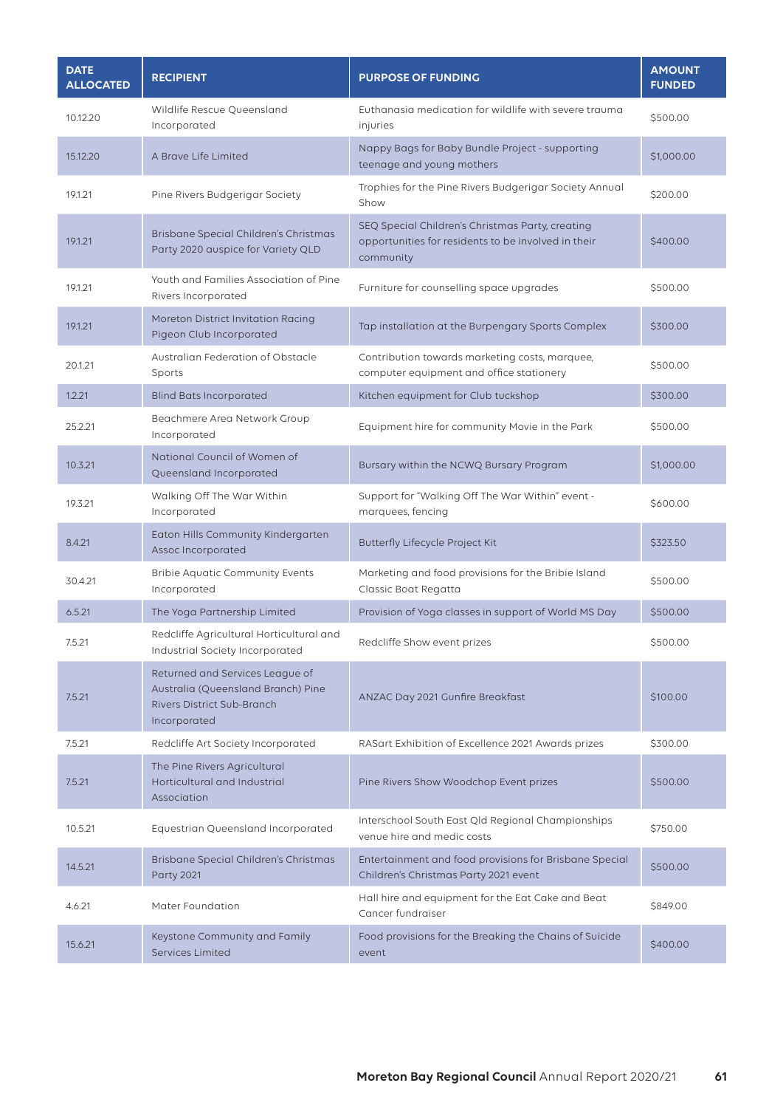| <b>DATE</b><br><b>ALLOCATED</b> | <b>RECIPIENT</b>                                                                                                    | <b>PURPOSE OF FUNDING</b>                                                                                            | <b>AMOUNT</b><br><b>FUNDED</b> |
|---------------------------------|---------------------------------------------------------------------------------------------------------------------|----------------------------------------------------------------------------------------------------------------------|--------------------------------|
| 10.12.20                        | Wildlife Rescue Queensland<br>Incorporated                                                                          | Euthanasia medication for wildlife with severe trauma<br>injuries                                                    | \$500.00                       |
| 15.12.20                        | A Brave Life Limited                                                                                                | Nappy Bags for Baby Bundle Project - supporting<br>teenage and young mothers                                         | \$1,000.00                     |
| 19.1.21                         | Pine Rivers Budgerigar Society                                                                                      | Trophies for the Pine Rivers Budgerigar Society Annual<br>Show                                                       | \$200.00                       |
| 19.1.21                         | Brisbane Special Children's Christmas<br>Party 2020 auspice for Variety QLD                                         | SEQ Special Children's Christmas Party, creating<br>opportunities for residents to be involved in their<br>community | \$400.00                       |
| 19.1.21                         | Youth and Families Association of Pine<br>Rivers Incorporated                                                       | Furniture for counselling space upgrades                                                                             | \$500.00                       |
| 19.1.21                         | Moreton District Invitation Racing<br>Pigeon Club Incorporated                                                      | Tap installation at the Burpengary Sports Complex                                                                    | \$300.00                       |
| 20.1.21                         | Australian Federation of Obstacle<br>Sports                                                                         | Contribution towards marketing costs, marquee,<br>computer equipment and office stationery                           | \$500.00                       |
| 1.2.21                          | <b>Blind Bats Incorporated</b>                                                                                      | Kitchen equipment for Club tuckshop                                                                                  | \$300.00                       |
| 25.2.21                         | Beachmere Area Network Group<br>Incorporated                                                                        | Equipment hire for community Movie in the Park                                                                       | \$500.00                       |
| 10.3.21                         | National Council of Women of<br>Queensland Incorporated                                                             | Bursary within the NCWQ Bursary Program                                                                              | \$1,000.00                     |
| 19.3.21                         | Walking Off The War Within<br>Incorporated                                                                          | Support for "Walking Off The War Within" event -<br>marquees, fencing                                                | \$600.00                       |
| 8.4.21                          | Eaton Hills Community Kindergarten<br>Assoc Incorporated                                                            | Butterfly Lifecycle Project Kit                                                                                      | \$323.50                       |
| 30.4.21                         | <b>Bribie Aquatic Community Events</b><br>Incorporated                                                              | Marketing and food provisions for the Bribie Island<br>Classic Boat Regatta                                          | \$500.00                       |
| 6.5.21                          | The Yoga Partnership Limited                                                                                        | Provision of Yoga classes in support of World MS Day                                                                 | \$500.00                       |
| 7.5.21                          | Redcliffe Agricultural Horticultural and<br>Industrial Society Incorporated                                         | Redcliffe Show event prizes                                                                                          | \$500.00                       |
| 7.5.21                          | Returned and Services League of<br>Australia (Queensland Branch) Pine<br>Rivers District Sub-Branch<br>Incorporated | ANZAC Day 2021 Gunfire Breakfast                                                                                     | \$100.00                       |
| 7.5.21                          | Redcliffe Art Society Incorporated                                                                                  | RASart Exhibition of Excellence 2021 Awards prizes                                                                   | \$300.00                       |
| 7.5.21                          | The Pine Rivers Agricultural<br>Horticultural and Industrial<br>Association                                         | Pine Rivers Show Woodchop Event prizes                                                                               | \$500.00                       |
| 10.5.21                         | Equestrian Queensland Incorporated                                                                                  | Interschool South East Qld Regional Championships<br>venue hire and medic costs                                      | \$750.00                       |
| 14.5.21                         | Brisbane Special Children's Christmas<br><b>Party 2021</b>                                                          | Entertainment and food provisions for Brisbane Special<br>Children's Christmas Party 2021 event                      | \$500.00                       |
| 4.6.21                          | Mater Foundation                                                                                                    | Hall hire and equipment for the Eat Cake and Beat<br>Cancer fundraiser                                               | \$849.00                       |
| 15.6.21                         | Keystone Community and Family<br><b>Services Limited</b>                                                            | Food provisions for the Breaking the Chains of Suicide<br>event                                                      | \$400.00                       |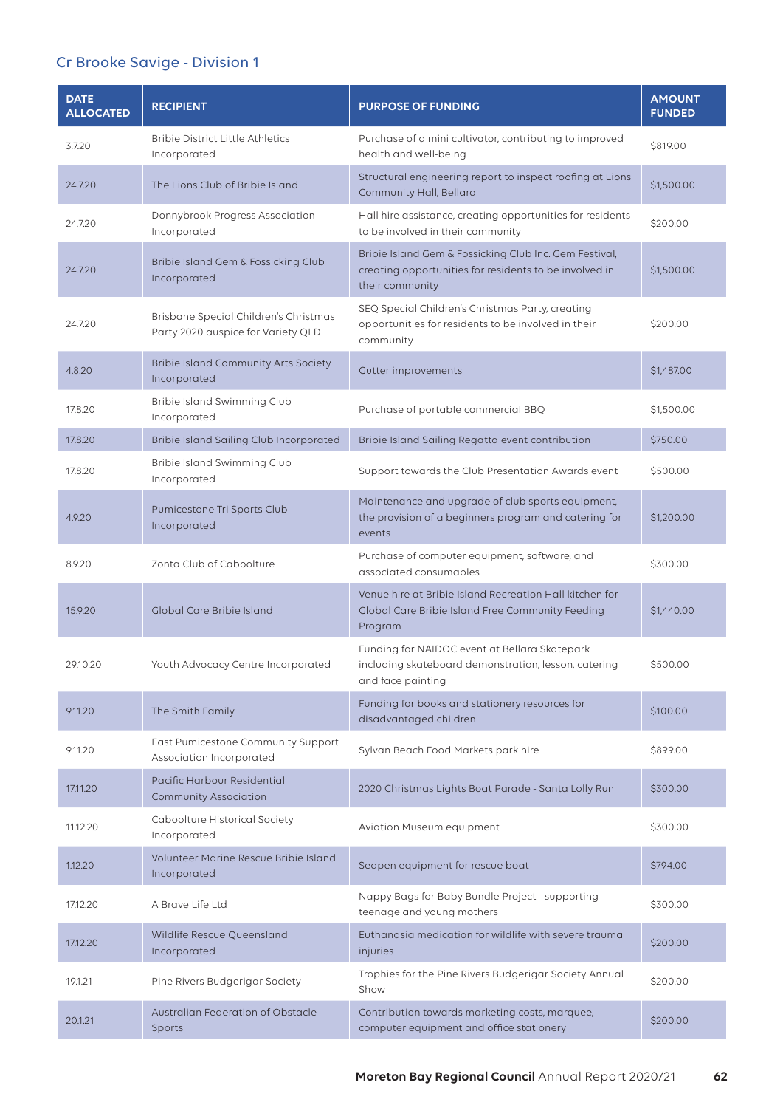# Cr Brooke Savige - Division 1

| <b>DATE</b><br><b>ALLOCATED</b> | <b>RECIPIENT</b>                                                            | <b>PURPOSE OF FUNDING</b>                                                                                                           | <b>AMOUNT</b><br><b>FUNDED</b> |
|---------------------------------|-----------------------------------------------------------------------------|-------------------------------------------------------------------------------------------------------------------------------------|--------------------------------|
| 3.7.20                          | <b>Bribie District Little Athletics</b><br>Incorporated                     | Purchase of a mini cultivator, contributing to improved<br>health and well-being                                                    | \$819.00                       |
| 24.7.20                         | The Lions Club of Bribie Island                                             | Structural engineering report to inspect roofing at Lions<br>Community Hall, Bellara                                                | \$1,500.00                     |
| 24.7.20                         | Donnybrook Progress Association<br>Incorporated                             | Hall hire assistance, creating opportunities for residents<br>to be involved in their community                                     | \$200.00                       |
| 24.7.20                         | Bribie Island Gem & Fossicking Club<br>Incorporated                         | Bribie Island Gem & Fossicking Club Inc. Gem Festival,<br>creating opportunities for residents to be involved in<br>their community | \$1,500.00                     |
| 24.7.20                         | Brisbane Special Children's Christmas<br>Party 2020 auspice for Variety QLD | SEQ Special Children's Christmas Party, creating<br>opportunities for residents to be involved in their<br>community                | \$200.00                       |
| 4.8.20                          | <b>Bribie Island Community Arts Society</b><br>Incorporated                 | Gutter improvements                                                                                                                 | \$1,487.00                     |
| 17.8.20                         | Bribie Island Swimming Club<br>Incorporated                                 | Purchase of portable commercial BBQ                                                                                                 | \$1,500.00                     |
| 17.8.20                         | Bribie Island Sailing Club Incorporated                                     | Bribie Island Sailing Regatta event contribution                                                                                    | \$750.00                       |
| 17.8.20                         | Bribie Island Swimming Club<br>Incorporated                                 | Support towards the Club Presentation Awards event                                                                                  | \$500.00                       |
| 4.9.20                          | Pumicestone Tri Sports Club<br>Incorporated                                 | Maintenance and upgrade of club sports equipment,<br>the provision of a beginners program and catering for<br>events                | \$1,200.00                     |
| 8.9.20                          | Zonta Club of Caboolture                                                    | Purchase of computer equipment, software, and<br>associated consumables                                                             | \$300.00                       |
| 15.9.20                         | Global Care Bribie Island                                                   | Venue hire at Bribie Island Recreation Hall kitchen for<br>Global Care Bribie Island Free Community Feeding<br>Program              | \$1,440.00                     |
| 29.10.20                        | Youth Advocacy Centre Incorporated                                          | Funding for NAIDOC event at Bellara Skatepark<br>including skateboard demonstration, lesson, catering<br>and face painting          | \$500.00                       |
| 9.11.20                         | The Smith Family                                                            | Funding for books and stationery resources for<br>disadvantaged children                                                            | \$100.00                       |
| 9.11.20                         | East Pumicestone Community Support<br>Association Incorporated              | Sylvan Beach Food Markets park hire                                                                                                 | \$899.00                       |
| 17.11.20                        | Pacific Harbour Residential<br><b>Community Association</b>                 | 2020 Christmas Lights Boat Parade - Santa Lolly Run                                                                                 | \$300.00                       |
| 11.12.20                        | Caboolture Historical Society<br>Incorporated                               | Aviation Museum equipment                                                                                                           | \$300.00                       |
| 1.12.20                         | Volunteer Marine Rescue Bribie Island<br>Incorporated                       | Seapen equipment for rescue boat                                                                                                    | \$794.00                       |
| 17.12.20                        | A Brave Life Ltd                                                            | Nappy Bags for Baby Bundle Project - supporting<br>teenage and young mothers                                                        | \$300.00                       |
| 17.12.20                        | Wildlife Rescue Queensland<br>Incorporated                                  | Euthanasia medication for wildlife with severe trauma<br>injuries                                                                   | \$200.00                       |
| 19.1.21                         | Pine Rivers Budgerigar Society                                              | Trophies for the Pine Rivers Budgerigar Society Annual<br>Show                                                                      | \$200.00                       |
| 20.1.21                         | Australian Federation of Obstacle<br>Sports                                 | Contribution towards marketing costs, marquee,<br>computer equipment and office stationery                                          | \$200.00                       |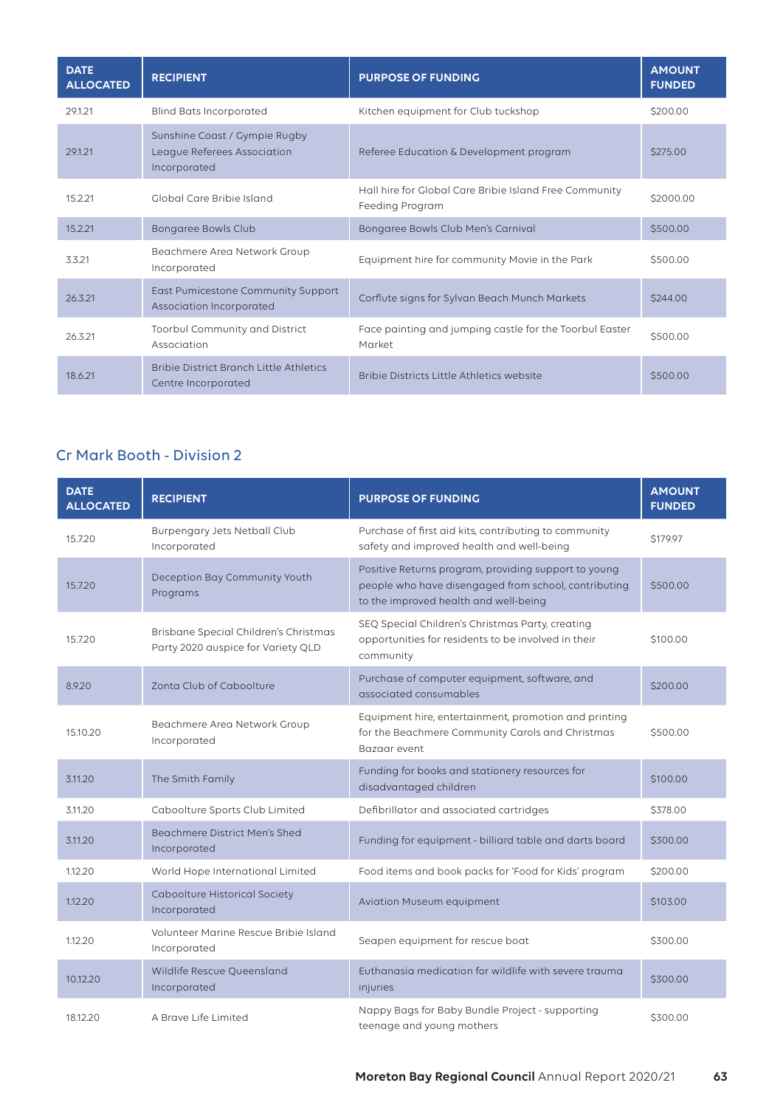| <b>DATE</b><br><b>ALLOCATED</b> | <b>RECIPIENT</b>                                                             | <b>PURPOSE OF FUNDING</b>                                                 | <b>AMOUNT</b><br><b>FUNDED</b> |
|---------------------------------|------------------------------------------------------------------------------|---------------------------------------------------------------------------|--------------------------------|
| 29.1.21                         | <b>Blind Bats Incorporated</b>                                               | Kitchen equipment for Club tuckshop                                       | \$200.00                       |
| 29.1.21                         | Sunshine Coast / Gympie Rugby<br>League Referees Association<br>Incorporated | Referee Education & Development program                                   | \$275.00                       |
| 15.2.21                         | Global Care Bribie Island                                                    | Hall hire for Global Care Bribie Island Free Community<br>Feeding Program | \$2000.00                      |
| 15.2.21                         | <b>Bongaree Bowls Club</b>                                                   | Bongaree Bowls Club Men's Carnival                                        | \$500.00                       |
| 3.3.21                          | Beachmere Area Network Group<br>Incorporated                                 | Equipment hire for community Movie in the Park                            | \$500.00                       |
| 26.3.21                         | East Pumicestone Community Support<br>Association Incorporated               | Corflute signs for Sylvan Beach Munch Markets                             | \$244.00                       |
| 26.3.21                         | Toorbul Community and District<br>Association                                | Face painting and jumping castle for the Toorbul Easter<br>Market         | \$500.00                       |
| 18.6.21                         | Bribie District Branch Little Athletics<br>Centre Incorporated               | Bribie Districts Little Athletics website                                 | \$500.00                       |

# Cr Mark Booth - Division 2

| <b>DATE</b><br><b>ALLOCATED</b> | <b>RECIPIENT</b>                                                            | <b>PURPOSE OF FUNDING</b>                                                                                                                             | <b>AMOUNT</b><br><b>FUNDED</b> |
|---------------------------------|-----------------------------------------------------------------------------|-------------------------------------------------------------------------------------------------------------------------------------------------------|--------------------------------|
| 15.7.20                         | Burpengary Jets Netball Club<br>Incorporated                                | Purchase of first aid kits, contributing to community<br>safety and improved health and well-being                                                    | \$179.97                       |
| 15.7.20                         | Deception Bay Community Youth<br>Programs                                   | Positive Returns program, providing support to young<br>people who have disengaged from school, contributing<br>to the improved health and well-being | \$500.00                       |
| 15.7.20                         | Brisbane Special Children's Christmas<br>Party 2020 auspice for Variety QLD | SEQ Special Children's Christmas Party, creating<br>opportunities for residents to be involved in their<br>community                                  | \$100.00                       |
| 8.9.20                          | Zonta Club of Caboolture                                                    | Purchase of computer equipment, software, and<br>associated consumables                                                                               | \$200.00                       |
| 15.10.20                        | Beachmere Area Network Group<br>Incorporated                                | Equipment hire, entertainment, promotion and printing<br>for the Beachmere Community Carols and Christmas<br>Bazaar event                             | \$500.00                       |
| 3.11.20                         | The Smith Family                                                            | Funding for books and stationery resources for<br>disadvantaged children                                                                              | \$100.00                       |
| 3.11.20                         | Caboolture Sports Club Limited                                              | Defibrillator and associated cartridges                                                                                                               | \$378.00                       |
| 3.11.20                         | <b>Beachmere District Men's Shed</b><br>Incorporated                        | Funding for equipment - billiard table and darts board                                                                                                | \$300.00                       |
| 1.12.20                         | World Hope International Limited                                            | Food items and book packs for 'Food for Kids' program                                                                                                 | \$200.00                       |
| 1.12.20                         | <b>Caboolture Historical Society</b><br>Incorporated                        | <b>Aviation Museum equipment</b>                                                                                                                      | \$103.00                       |
| 1.12.20                         | Volunteer Marine Rescue Bribie Island<br>Incorporated                       | Seapen equipment for rescue boat                                                                                                                      | \$300.00                       |
| 10.12.20                        | Wildlife Rescue Queensland<br>Incorporated                                  | Euthanasia medication for wildlife with severe trauma<br>injuries                                                                                     | \$300.00                       |
| 18.12.20                        | A Brave Life Limited                                                        | Nappy Bags for Baby Bundle Project - supporting<br>teenage and young mothers                                                                          | \$300.00                       |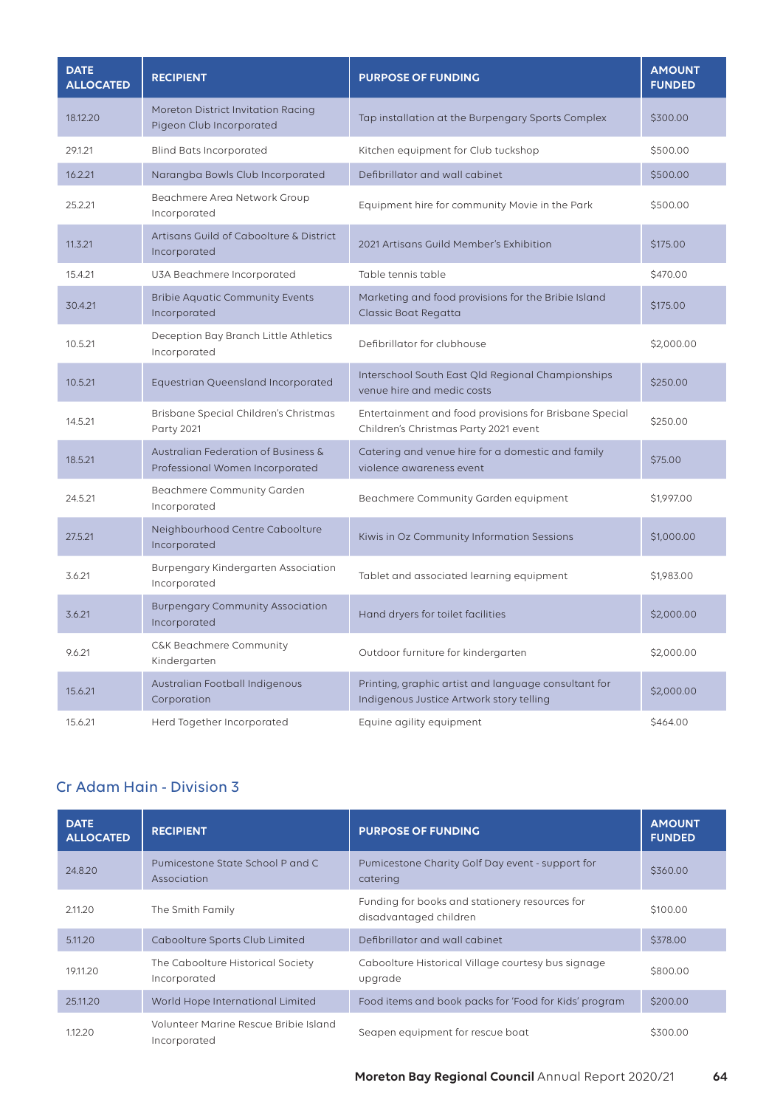| <b>DATE</b><br><b>ALLOCATED</b> | <b>RECIPIENT</b>                                                       | <b>PURPOSE OF FUNDING</b>                                                                        | <b>AMOUNT</b><br><b>FUNDED</b> |
|---------------------------------|------------------------------------------------------------------------|--------------------------------------------------------------------------------------------------|--------------------------------|
| 18.12.20                        | Moreton District Invitation Racing<br>Pigeon Club Incorporated         | Tap installation at the Burpengary Sports Complex                                                | \$300.00                       |
| 29.1.21                         | <b>Blind Bats Incorporated</b>                                         | Kitchen equipment for Club tuckshop                                                              | \$500.00                       |
| 16.2.21                         | Narangba Bowls Club Incorporated                                       | Defibrillator and wall cabinet                                                                   | \$500.00                       |
| 25.2.21                         | Beachmere Area Network Group<br>Incorporated                           | Equipment hire for community Movie in the Park                                                   | \$500.00                       |
| 11.3.21                         | Artisans Guild of Caboolture & District<br>Incorporated                | 2021 Artisans Guild Member's Exhibition                                                          | \$175,00                       |
| 15.4.21                         | U3A Beachmere Incorporated                                             | Table tennis table                                                                               | \$470.00                       |
| 30.4.21                         | <b>Bribie Aquatic Community Events</b><br>Incorporated                 | Marketing and food provisions for the Bribie Island<br>Classic Boat Regatta                      | \$175.00                       |
| 10.5.21                         | Deception Bay Branch Little Athletics<br>Incorporated                  | Defibrillator for clubhouse                                                                      | \$2,000.00                     |
| 10.5.21                         | Equestrian Queensland Incorporated                                     | Interschool South East Qld Regional Championships<br>venue hire and medic costs                  | \$250.00                       |
| 14.5.21                         | Brisbane Special Children's Christmas<br>Party 2021                    | Entertainment and food provisions for Brisbane Special<br>Children's Christmas Party 2021 event  | \$250.00                       |
| 18.5.21                         | Australian Federation of Business &<br>Professional Women Incorporated | Catering and venue hire for a domestic and family<br>violence awareness event                    | \$75.00                        |
| 24.5.21                         | Beachmere Community Garden<br>Incorporated                             | Beachmere Community Garden equipment                                                             | \$1,997.00                     |
| 27.5.21                         | Neighbourhood Centre Caboolture<br>Incorporated                        | Kiwis in Oz Community Information Sessions                                                       | \$1,000.00                     |
| 3.6.21                          | Burpengary Kindergarten Association<br>Incorporated                    | Tablet and associated learning equipment                                                         | \$1,983.00                     |
| 3.6.21                          | <b>Burpengary Community Association</b><br>Incorporated                | Hand dryers for toilet facilities                                                                | \$2,000.00                     |
| 9.6.21                          | C&K Beachmere Community<br>Kindergarten                                | Outdoor furniture for kindergarten                                                               | \$2,000.00                     |
| 15.6.21                         | Australian Football Indigenous<br>Corporation                          | Printing, graphic artist and language consultant for<br>Indigenous Justice Artwork story telling | \$2,000.00                     |
| 15.6.21                         | Herd Together Incorporated                                             | Equine agility equipment                                                                         | \$464.00                       |

# Cr Adam Hain - Division 3

| <b>DATE</b><br><b>ALLOCATED</b> | <b>RECIPIENT</b>                                      | <b>PURPOSE OF FUNDING</b>                                                | <b>AMOUNT</b><br><b>FUNDED</b> |
|---------------------------------|-------------------------------------------------------|--------------------------------------------------------------------------|--------------------------------|
| 24.8.20                         | Pumicestone State School P and C<br>Association       | Pumicestone Charity Golf Day event - support for<br>catering             | \$360.00                       |
| 2.11.20                         | The Smith Family                                      | Funding for books and stationery resources for<br>disadvantaged children | \$100.00                       |
| 5.11.20                         | Caboolture Sports Club Limited                        | Defibrillator and wall cabinet                                           | \$378,00                       |
| 19.11.20                        | The Caboolture Historical Society<br>Incorporated     | Caboolture Historical Village courtesy bus signage<br>upgrade            | \$800.00                       |
| 25.11.20                        | World Hope International Limited                      | Food items and book packs for 'Food for Kids' program                    | \$200.00                       |
| 1.12.20                         | Volunteer Marine Rescue Bribie Island<br>Incorporated | Seapen equipment for rescue boat                                         | \$300.00                       |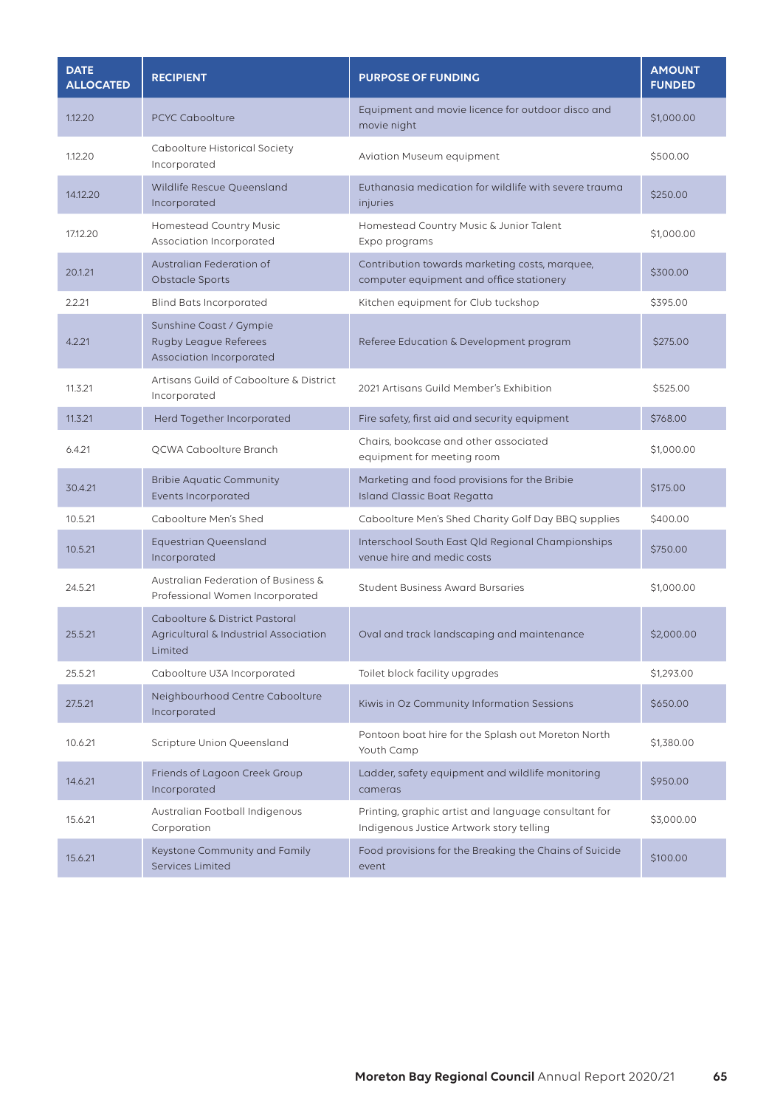| <b>DATE</b><br><b>ALLOCATED</b> | <b>RECIPIENT</b>                                                                   | <b>PURPOSE OF FUNDING</b>                                                                        | <b>AMOUNT</b><br><b>FUNDED</b> |
|---------------------------------|------------------------------------------------------------------------------------|--------------------------------------------------------------------------------------------------|--------------------------------|
| 1.12.20                         | <b>PCYC Caboolture</b>                                                             | Equipment and movie licence for outdoor disco and<br>movie night                                 | \$1,000.00                     |
| 1.12.20                         | Caboolture Historical Society<br>Incorporated                                      | <b>Aviation Museum equipment</b>                                                                 | \$500.00                       |
| 14.12.20                        | Wildlife Rescue Queensland<br>Incorporated                                         | Euthanasia medication for wildlife with severe trauma<br>injuries                                | \$250.00                       |
| 17.12.20                        | Homestead Country Music<br>Association Incorporated                                | Homestead Country Music & Junior Talent<br>Expo programs                                         | \$1,000.00                     |
| 20.1.21                         | Australian Federation of<br>Obstacle Sports                                        | Contribution towards marketing costs, marquee,<br>computer equipment and office stationery       | \$300.00                       |
| 2.2.21                          | <b>Blind Bats Incorporated</b>                                                     | Kitchen equipment for Club tuckshop                                                              | \$395.00                       |
| 4.2.21                          | Sunshine Coast / Gympie<br>Rugby League Referees<br>Association Incorporated       | Referee Education & Development program                                                          | \$275.00                       |
| 11.3.21                         | Artisans Guild of Caboolture & District<br>Incorporated                            | 2021 Artisans Guild Member's Exhibition                                                          | \$525.00                       |
| 11.3.21                         | Herd Together Incorporated                                                         | Fire safety, first aid and security equipment                                                    | \$768.00                       |
| 6.4.21                          | QCWA Caboolture Branch                                                             | Chairs, bookcase and other associated<br>equipment for meeting room                              | \$1,000.00                     |
| 30.4.21                         | <b>Bribie Aquatic Community</b><br>Events Incorporated                             | Marketing and food provisions for the Bribie<br>Island Classic Boat Regatta                      | \$175.00                       |
| 10.5.21                         | Caboolture Men's Shed                                                              | Caboolture Men's Shed Charity Golf Day BBQ supplies                                              | \$400.00                       |
| 10.5.21                         | <b>Equestrian Queensland</b><br>Incorporated                                       | Interschool South East Qld Regional Championships<br>venue hire and medic costs                  | \$750.00                       |
| 24.5.21                         | Australian Federation of Business &<br>Professional Women Incorporated             | <b>Student Business Award Bursaries</b>                                                          | \$1,000.00                     |
| 25.5.21                         | Caboolture & District Pastoral<br>Agricultural & Industrial Association<br>Limited | Oval and track landscaping and maintenance                                                       | \$2,000.00                     |
| 25.5.21                         | Caboolture U3A Incorporated                                                        | Toilet block facility upgrades                                                                   | \$1,293.00                     |
| 27.5.21                         | Neighbourhood Centre Caboolture<br>Incorporated                                    | Kiwis in Oz Community Information Sessions                                                       | \$650.00                       |
| 10.6.21                         | Scripture Union Queensland                                                         | Pontoon boat hire for the Splash out Moreton North<br>Youth Camp                                 | \$1,380.00                     |
| 14.6.21                         | Friends of Lagoon Creek Group<br>Incorporated                                      | Ladder, safety equipment and wildlife monitoring<br>cameras                                      | \$950.00                       |
| 15.6.21                         | Australian Football Indigenous<br>Corporation                                      | Printing, graphic artist and language consultant for<br>Indigenous Justice Artwork story telling | \$3,000.00                     |
| 15.6.21                         | Keystone Community and Family<br><b>Services Limited</b>                           | Food provisions for the Breaking the Chains of Suicide<br>event                                  | \$100.00                       |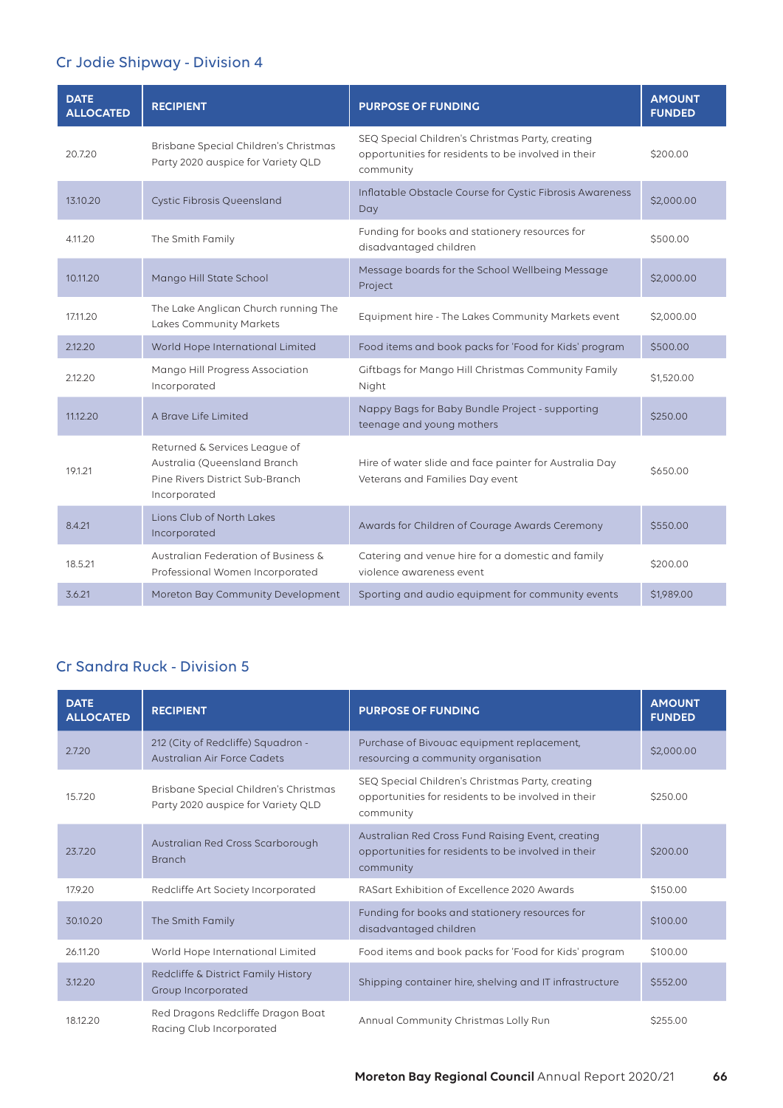# Cr Jodie Shipway - Division 4

| <b>DATE</b><br><b>ALLOCATED</b> | <b>RECIPIENT</b>                                                                                                 | <b>PURPOSE OF FUNDING</b>                                                                                            | <b>AMOUNT</b><br><b>FUNDED</b> |
|---------------------------------|------------------------------------------------------------------------------------------------------------------|----------------------------------------------------------------------------------------------------------------------|--------------------------------|
| 20.7.20                         | Brisbane Special Children's Christmas<br>Party 2020 auspice for Variety QLD                                      | SEQ Special Children's Christmas Party, creating<br>opportunities for residents to be involved in their<br>community | \$200.00                       |
| 13.10.20                        | <b>Cystic Fibrosis Queensland</b>                                                                                | Inflatable Obstacle Course for Cystic Fibrosis Awareness<br>Day                                                      | \$2,000.00                     |
| 4.11.20                         | The Smith Family                                                                                                 | Funding for books and stationery resources for<br>disadvantaged children                                             | \$500.00                       |
| 10.11.20                        | Mango Hill State School                                                                                          | Message boards for the School Wellbeing Message<br>Project                                                           | \$2,000.00                     |
| 17.11.20                        | The Lake Anglican Church running The<br><b>Lakes Community Markets</b>                                           | Equipment hire - The Lakes Community Markets event                                                                   | \$2,000.00                     |
| 2.12.20                         | World Hope International Limited                                                                                 | Food items and book packs for 'Food for Kids' program                                                                | \$500.00                       |
| 2.12.20                         | Mango Hill Progress Association<br>Incorporated                                                                  | Giftbags for Mango Hill Christmas Community Family<br>Night                                                          | \$1,520.00                     |
| 11.12.20                        | A Brave Life Limited                                                                                             | Nappy Bags for Baby Bundle Project - supporting<br>teenage and young mothers                                         | \$250.00                       |
| 19.1.21                         | Returned & Services League of<br>Australia (Queensland Branch<br>Pine Rivers District Sub-Branch<br>Incorporated | Hire of water slide and face painter for Australia Day<br>Veterans and Families Day event                            | \$650.00                       |
| 8.4.21                          | Lions Club of North Lakes<br>Incorporated                                                                        | Awards for Children of Courage Awards Ceremony                                                                       | \$550.00                       |
| 18.5.21                         | Australian Federation of Business &<br>Professional Women Incorporated                                           | Catering and venue hire for a domestic and family<br>violence awareness event                                        | \$200.00                       |
| 3.6.21                          | Moreton Bay Community Development                                                                                | Sporting and audio equipment for community events                                                                    | \$1,989.00                     |

# Cr Sandra Ruck - Division 5

| <b>DATE</b><br><b>ALLOCATED</b> | <b>RECIPIENT</b>                                                            | <b>PURPOSE OF FUNDING</b>                                                                                             | <b>AMOUNT</b><br><b>FUNDED</b> |
|---------------------------------|-----------------------------------------------------------------------------|-----------------------------------------------------------------------------------------------------------------------|--------------------------------|
| 2.7.20                          | 212 (City of Redcliffe) Squadron -<br>Australian Air Force Cadets           | Purchase of Bivouac equipment replacement,<br>resourcing a community organisation                                     | \$2,000.00                     |
| 15.7.20                         | Brisbane Special Children's Christmas<br>Party 2020 auspice for Variety QLD | SEQ Special Children's Christmas Party, creating<br>opportunities for residents to be involved in their<br>community  | \$250.00                       |
| 23.7.20                         | Australian Red Cross Scarborough<br><b>Branch</b>                           | Australian Red Cross Fund Raising Event, creating<br>opportunities for residents to be involved in their<br>community | \$200.00                       |
| 17.9.20                         | Redcliffe Art Society Incorporated                                          | RASart Exhibition of Excellence 2020 Awards                                                                           | \$150.00                       |
| 30.10.20                        | The Smith Family                                                            | Funding for books and stationery resources for<br>disadvantaged children                                              | \$100.00                       |
| 26.11.20                        | World Hope International Limited                                            | Food items and book packs for 'Food for Kids' program                                                                 | \$100.00                       |
| 3.12.20                         | Redcliffe & District Family History<br>Group Incorporated                   | Shipping container hire, shelving and IT infrastructure                                                               | \$552.00                       |
| 18.12.20                        | Red Dragons Redcliffe Dragon Boat<br>Racing Club Incorporated               | Annual Community Christmas Lolly Run                                                                                  | \$255.00                       |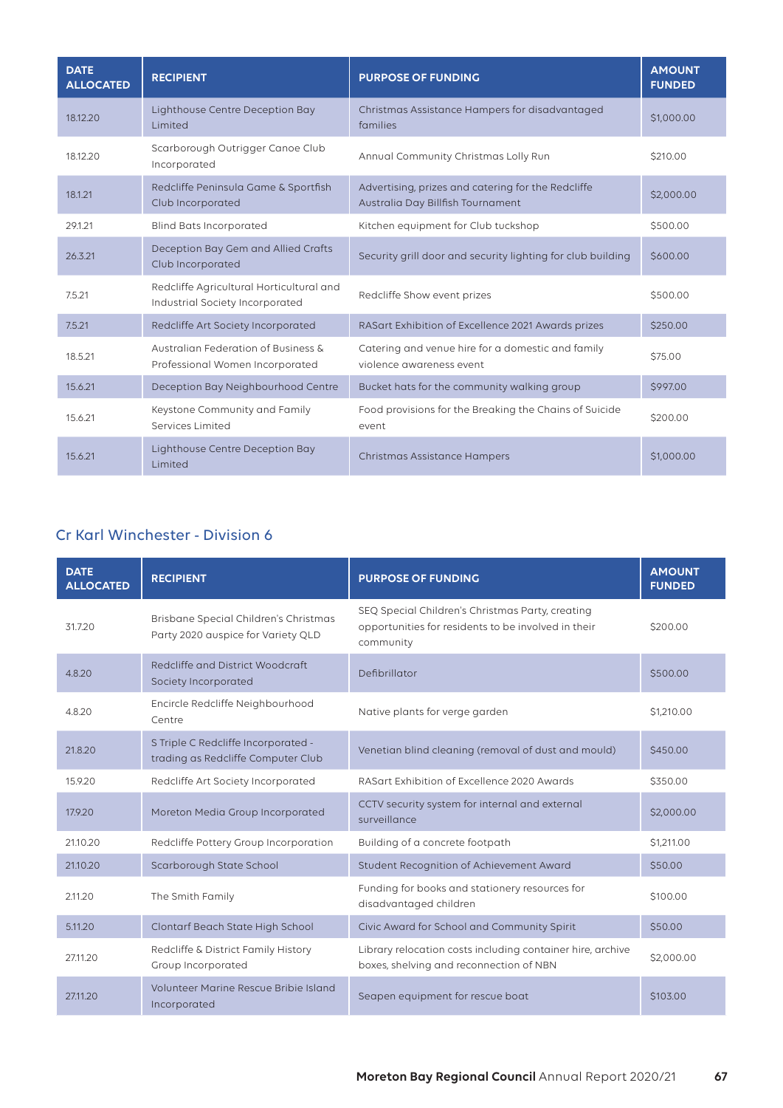| <b>DATE</b><br><b>ALLOCATED</b> | <b>RECIPIENT</b>                                                            | <b>PURPOSE OF FUNDING</b>                                                               | <b>AMOUNT</b><br><b>FUNDED</b> |
|---------------------------------|-----------------------------------------------------------------------------|-----------------------------------------------------------------------------------------|--------------------------------|
| 18.12.20                        | Lighthouse Centre Deception Bay<br>Limited                                  | Christmas Assistance Hampers for disadvantaged<br>families                              | \$1,000.00                     |
| 18.12.20                        | Scarborough Outrigger Canoe Club<br>Incorporated                            | Annual Community Christmas Lolly Run                                                    | \$210.00                       |
| 18.1.21                         | Redcliffe Peninsula Game & Sportfish<br>Club Incorporated                   | Advertising, prizes and catering for the Redcliffe<br>Australia Day Billfish Tournament | \$2,000.00                     |
| 29.1.21                         | <b>Blind Bats Incorporated</b>                                              | Kitchen equipment for Club tuckshop                                                     | \$500.00                       |
| 26.3.21                         | Deception Bay Gem and Allied Crafts<br>Club Incorporated                    | Security grill door and security lighting for club building                             | \$600.00                       |
| 7.5.21                          | Redcliffe Agricultural Horticultural and<br>Industrial Society Incorporated | Redcliffe Show event prizes                                                             | \$500.00                       |
| 7.5.21                          | Redcliffe Art Society Incorporated                                          | RASart Exhibition of Excellence 2021 Awards prizes                                      | \$250.00                       |
| 18.5.21                         | Australian Federation of Business &<br>Professional Women Incorporated      | Catering and venue hire for a domestic and family<br>violence awareness event           | \$75.00                        |
| 15.6.21                         | Deception Bay Neighbourhood Centre                                          | Bucket hats for the community walking group                                             | \$997.00                       |
| 15.6.21                         | Keystone Community and Family<br>Services Limited                           | Food provisions for the Breaking the Chains of Suicide<br>event                         | \$200.00                       |
| 15.6.21                         | Lighthouse Centre Deception Bay<br>Limited                                  | <b>Christmas Assistance Hampers</b>                                                     | \$1,000.00                     |

# Cr Karl Winchester - Division 6

| <b>DATE</b><br><b>ALLOCATED</b> | <b>RECIPIENT</b>                                                            | <b>PURPOSE OF FUNDING</b>                                                                                            | <b>AMOUNT</b><br><b>FUNDED</b> |
|---------------------------------|-----------------------------------------------------------------------------|----------------------------------------------------------------------------------------------------------------------|--------------------------------|
| 31.7.20                         | Brisbane Special Children's Christmas<br>Party 2020 auspice for Variety QLD | SEQ Special Children's Christmas Party, creating<br>opportunities for residents to be involved in their<br>community | \$200.00                       |
| 4.8.20                          | Redcliffe and District Woodcraft<br>Society Incorporated                    | Defibrillator                                                                                                        | \$500.00                       |
| 4.8.20                          | Encircle Redcliffe Neighbourhood<br>Centre                                  | Native plants for verge garden                                                                                       | \$1,210.00                     |
| 21.8.20                         | S Triple C Redcliffe Incorporated -<br>trading as Redcliffe Computer Club   | Venetian blind cleaning (removal of dust and mould)                                                                  | \$450.00                       |
| 15.9.20                         | Redcliffe Art Society Incorporated                                          | RASart Exhibition of Excellence 2020 Awards                                                                          | \$350.00                       |
| 17.9.20                         | Moreton Media Group Incorporated                                            | CCTV security system for internal and external<br>surveillance                                                       | \$2,000.00                     |
| 21.10.20                        | Redcliffe Pottery Group Incorporation                                       | Building of a concrete footpath                                                                                      | \$1,211.00                     |
| 21.10.20                        | Scarborough State School                                                    | Student Recognition of Achievement Award                                                                             | \$50.00                        |
| 2.11.20                         | The Smith Family                                                            | Funding for books and stationery resources for<br>disadvantaged children                                             | \$100.00                       |
| 5.11.20                         | Clontarf Beach State High School                                            | Civic Award for School and Community Spirit                                                                          | \$50.00                        |
| 27.11.20                        | Redcliffe & District Family History<br>Group Incorporated                   | Library relocation costs including container hire, archive<br>boxes, shelving and reconnection of NBN                | \$2,000.00                     |
| 27.11.20                        | Volunteer Marine Rescue Bribie Island<br>Incorporated                       | Seapen equipment for rescue boat                                                                                     | \$103.00                       |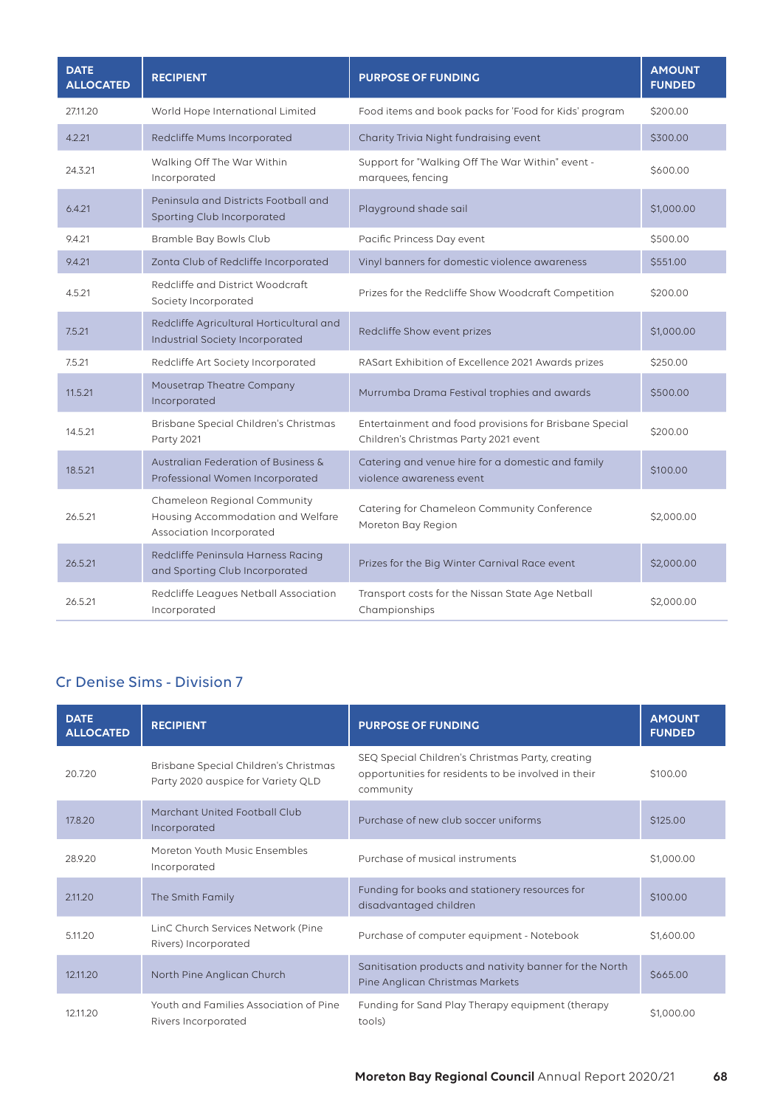| <b>DATE</b><br><b>ALLOCATED</b> | <b>RECIPIENT</b>                                                                              | <b>PURPOSE OF FUNDING</b>                                                                       | <b>AMOUNT</b><br><b>FUNDED</b> |
|---------------------------------|-----------------------------------------------------------------------------------------------|-------------------------------------------------------------------------------------------------|--------------------------------|
| 2711.20                         | World Hope International Limited                                                              | Food items and book packs for 'Food for Kids' program                                           | \$200.00                       |
| 4.2.21                          | Redcliffe Mums Incorporated                                                                   | Charity Trivia Night fundraising event                                                          | \$300.00                       |
| 24.3.21                         | Walking Off The War Within<br>Incorporated                                                    | Support for "Walking Off The War Within" event -<br>marquees, fencing                           | \$600.00                       |
| 6.4.21                          | Peninsula and Districts Football and<br>Sporting Club Incorporated                            | Playground shade sail                                                                           | \$1,000.00                     |
| 9.4.21                          | Bramble Bay Bowls Club                                                                        | Pacific Princess Day event                                                                      | \$500.00                       |
| 9.4.21                          | Zonta Club of Redcliffe Incorporated                                                          | Vinyl banners for domestic violence awareness                                                   | \$551.00                       |
| 4.5.21                          | Redcliffe and District Woodcraft<br>Society Incorporated                                      | Prizes for the Redcliffe Show Woodcraft Competition                                             | \$200.00                       |
| 7.5.21                          | Redcliffe Agricultural Horticultural and<br>Industrial Society Incorporated                   | Redcliffe Show event prizes                                                                     | \$1,000.00                     |
| 7.5.21                          | Redcliffe Art Society Incorporated                                                            | RASart Exhibition of Excellence 2021 Awards prizes                                              | \$250.00                       |
| 11.5.21                         | Mousetrap Theatre Company<br>Incorporated                                                     | Murrumba Drama Festival trophies and awards                                                     | \$500.00                       |
| 14.5.21                         | Brisbane Special Children's Christmas<br><b>Party 2021</b>                                    | Entertainment and food provisions for Brisbane Special<br>Children's Christmas Party 2021 event | \$200.00                       |
| 18.5.21                         | Australian Federation of Business &<br>Professional Women Incorporated                        | Catering and venue hire for a domestic and family<br>violence awareness event                   | \$100.00                       |
| 26.5.21                         | Chameleon Regional Community<br>Housing Accommodation and Welfare<br>Association Incorporated | Catering for Chameleon Community Conference<br>Moreton Bay Region                               | \$2,000.00                     |
| 26.5.21                         | Redcliffe Peninsula Harness Racing<br>and Sporting Club Incorporated                          | Prizes for the Big Winter Carnival Race event                                                   | \$2,000.00                     |
| 26.5.21                         | Redcliffe Leagues Netball Association<br>Incorporated                                         | Transport costs for the Nissan State Age Netball<br>Championships                               | \$2,000.00                     |

# Cr Denise Sims - Division 7

| <b>DATE</b><br><b>ALLOCATED</b> | <b>RECIPIENT</b>                                                            | <b>PURPOSE OF FUNDING</b>                                                                                            | <b>AMOUNT</b><br><b>FUNDED</b> |
|---------------------------------|-----------------------------------------------------------------------------|----------------------------------------------------------------------------------------------------------------------|--------------------------------|
| 20.7.20                         | Brisbane Special Children's Christmas<br>Party 2020 auspice for Variety QLD | SEQ Special Children's Christmas Party, creating<br>opportunities for residents to be involved in their<br>community | \$100.00                       |
| 17.8.20                         | Marchant United Football Club<br>Incorporated                               | Purchase of new club soccer uniforms                                                                                 | \$125.00                       |
| 28.9.20                         | Moreton Youth Music Ensembles<br>Incorporated                               | Purchase of musical instruments                                                                                      | \$1,000.00                     |
| 2.11.20                         | The Smith Family                                                            | Funding for books and stationery resources for<br>disadvantaged children                                             | \$100.00                       |
| 5.11.20                         | LinC Church Services Network (Pine<br>Rivers) Incorporated                  | Purchase of computer equipment - Notebook                                                                            | \$1,600.00                     |
| 12.11.20                        | North Pine Anglican Church                                                  | Sanitisation products and nativity banner for the North<br>Pine Anglican Christmas Markets                           | \$665.00                       |
| 12.11.20                        | Youth and Families Association of Pine<br>Rivers Incorporated               | Funding for Sand Play Therapy equipment (therapy<br>tools)                                                           | \$1,000.00                     |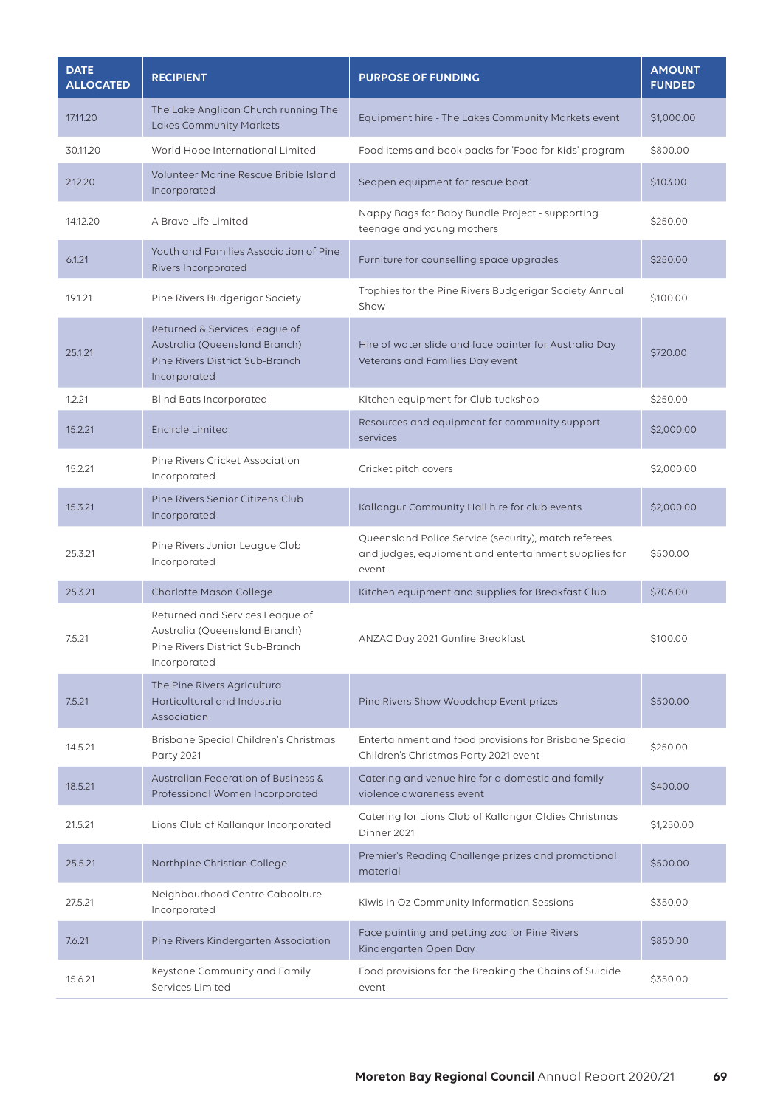| <b>DATE</b><br><b>ALLOCATED</b> | <b>RECIPIENT</b>                                                                                                    | <b>PURPOSE OF FUNDING</b>                                                                                             | <b>AMOUNT</b><br><b>FUNDED</b> |
|---------------------------------|---------------------------------------------------------------------------------------------------------------------|-----------------------------------------------------------------------------------------------------------------------|--------------------------------|
| 17,11.20                        | The Lake Anglican Church running The<br>Lakes Community Markets                                                     | Equipment hire - The Lakes Community Markets event                                                                    | \$1,000.00                     |
| 30.11.20                        | World Hope International Limited                                                                                    | Food items and book packs for 'Food for Kids' program                                                                 | \$800.00                       |
| 2.12.20                         | Volunteer Marine Rescue Bribie Island<br>Incorporated                                                               | Seapen equipment for rescue boat                                                                                      | \$103.00                       |
| 14.12.20                        | A Brave Life Limited                                                                                                | Nappy Bags for Baby Bundle Project - supporting<br>teenage and young mothers                                          | \$250.00                       |
| 6.1.21                          | Youth and Families Association of Pine<br><b>Rivers Incorporated</b>                                                | Furniture for counselling space upgrades                                                                              | \$250.00                       |
| 19.1.21                         | Pine Rivers Budgerigar Society                                                                                      | Trophies for the Pine Rivers Budgerigar Society Annual<br>Show                                                        | \$100.00                       |
| 25.1.21                         | Returned & Services League of<br>Australia (Queensland Branch)<br>Pine Rivers District Sub-Branch<br>Incorporated   | Hire of water slide and face painter for Australia Day<br>Veterans and Families Day event                             | \$720.00                       |
| 1.2.21                          | <b>Blind Bats Incorporated</b>                                                                                      | Kitchen equipment for Club tuckshop                                                                                   | \$250.00                       |
| 15.2.21                         | <b>Encircle Limited</b>                                                                                             | Resources and equipment for community support<br>services                                                             | \$2,000.00                     |
| 15.2.21                         | Pine Rivers Cricket Association<br>Incorporated                                                                     | Cricket pitch covers                                                                                                  | \$2,000.00                     |
| 15.3.21                         | Pine Rivers Senior Citizens Club<br>Incorporated                                                                    | Kallangur Community Hall hire for club events                                                                         | \$2,000.00                     |
| 25.3.21                         | Pine Rivers Junior League Club<br>Incorporated                                                                      | Queensland Police Service (security), match referees<br>and judges, equipment and entertainment supplies for<br>event | \$500.00                       |
| 25.3.21                         | Charlotte Mason College                                                                                             | Kitchen equipment and supplies for Breakfast Club                                                                     | \$706.00                       |
| 7.5.21                          | Returned and Services League of<br>Australia (Queensland Branch)<br>Pine Rivers District Sub-Branch<br>Incorporated | ANZAC Day 2021 Gunfire Breakfast                                                                                      | \$100.00                       |
| 7.5.21                          | The Pine Rivers Agricultural<br>Horticultural and Industrial<br>Association                                         | Pine Rivers Show Woodchop Event prizes                                                                                | \$500.00                       |
| 14.5.21                         | Brisbane Special Children's Christmas<br><b>Party 2021</b>                                                          | Entertainment and food provisions for Brisbane Special<br>Children's Christmas Party 2021 event                       | \$250.00                       |
| 18.5.21                         | Australian Federation of Business &<br>Professional Women Incorporated                                              | Catering and venue hire for a domestic and family<br>violence awareness event                                         | \$400.00                       |
| 21.5.21                         | Lions Club of Kallangur Incorporated                                                                                | Catering for Lions Club of Kallangur Oldies Christmas<br>Dinner 2021                                                  | \$1,250.00                     |
| 25.5.21                         | Northpine Christian College                                                                                         | Premier's Reading Challenge prizes and promotional<br>material                                                        | \$500.00                       |
| 27.5.21                         | Neighbourhood Centre Caboolture<br>Incorporated                                                                     | Kiwis in Oz Community Information Sessions                                                                            | \$350.00                       |
| 7.6.21                          | Pine Rivers Kindergarten Association                                                                                | Face painting and petting zoo for Pine Rivers<br>Kindergarten Open Day                                                | \$850.00                       |
| 15.6.21                         | Keystone Community and Family<br>Services Limited                                                                   | Food provisions for the Breaking the Chains of Suicide<br>event                                                       | \$350.00                       |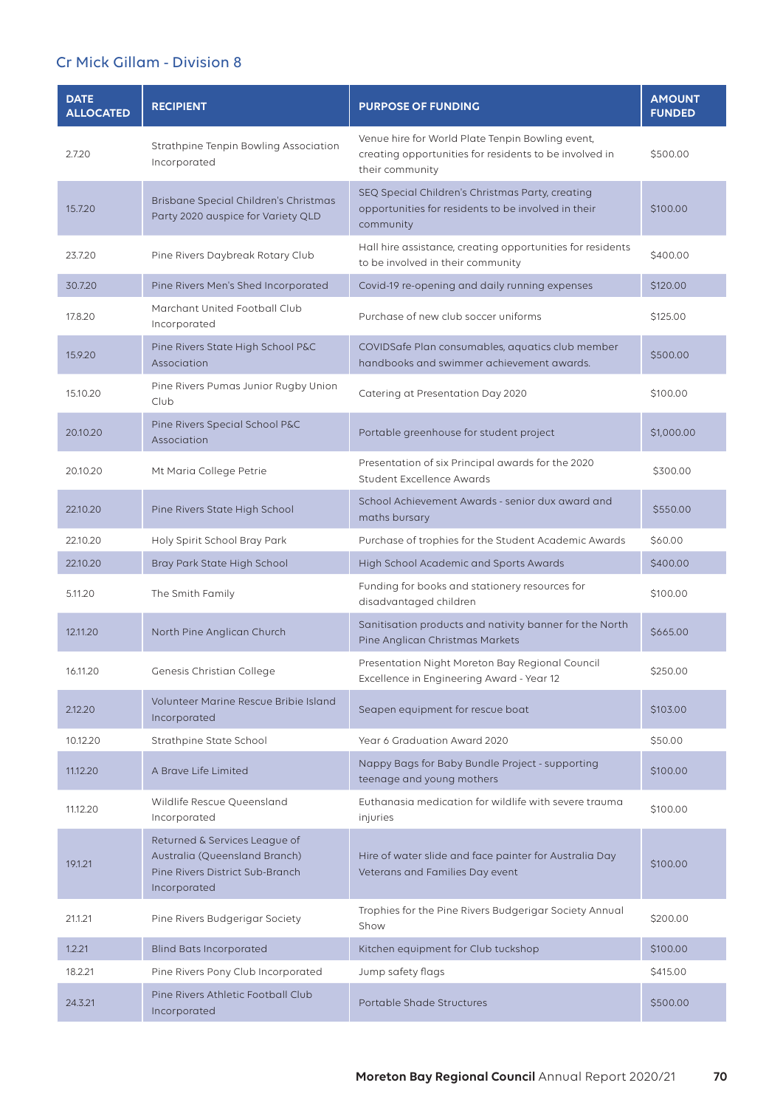## Cr Mick Gillam - Division 8

| <b>DATE</b><br><b>ALLOCATED</b> | <b>RECIPIENT</b>                                                                                                  | <b>PURPOSE OF FUNDING</b>                                                                                                     | <b>AMOUNT</b><br><b>FUNDED</b> |
|---------------------------------|-------------------------------------------------------------------------------------------------------------------|-------------------------------------------------------------------------------------------------------------------------------|--------------------------------|
| 2.7.20                          | Strathpine Tenpin Bowling Association<br>Incorporated                                                             | Venue hire for World Plate Tenpin Bowling event,<br>creating opportunities for residents to be involved in<br>their community | \$500.00                       |
| 15.7.20                         | Brisbane Special Children's Christmas<br>Party 2020 auspice for Variety QLD                                       | SEQ Special Children's Christmas Party, creating<br>opportunities for residents to be involved in their<br>community          | \$100.00                       |
| 23.7.20                         | Pine Rivers Daybreak Rotary Club                                                                                  | Hall hire assistance, creating opportunities for residents<br>to be involved in their community                               | \$400.00                       |
| 30.7.20                         | Pine Rivers Men's Shed Incorporated                                                                               | Covid-19 re-opening and daily running expenses                                                                                | \$120.00                       |
| 17.8.20                         | Marchant United Football Club<br>Incorporated                                                                     | Purchase of new club soccer uniforms                                                                                          | \$125.00                       |
| 15.9.20                         | Pine Rivers State High School P&C<br>Association                                                                  | COVIDSafe Plan consumables, aquatics club member<br>handbooks and swimmer achievement awards.                                 | \$500.00                       |
| 15.10.20                        | Pine Rivers Pumas Junior Rugby Union<br>Club                                                                      | Catering at Presentation Day 2020                                                                                             | \$100.00                       |
| 20.10.20                        | Pine Rivers Special School P&C<br>Association                                                                     | Portable greenhouse for student project                                                                                       | \$1,000.00                     |
| 20.10.20                        | Mt Maria College Petrie                                                                                           | Presentation of six Principal awards for the 2020<br>Student Excellence Awards                                                | \$300.00                       |
| 22.10.20                        | Pine Rivers State High School                                                                                     | School Achievement Awards - senior dux award and<br>maths bursary                                                             | \$550.00                       |
| 22.10.20                        | Holy Spirit School Bray Park                                                                                      | Purchase of trophies for the Student Academic Awards                                                                          | \$60.00                        |
| 22.10.20                        | Bray Park State High School                                                                                       | High School Academic and Sports Awards                                                                                        | \$400.00                       |
| 5.11.20                         | The Smith Family                                                                                                  | Funding for books and stationery resources for<br>disadvantaged children                                                      | \$100.00                       |
| 12.11.20                        | North Pine Anglican Church                                                                                        | Sanitisation products and nativity banner for the North<br>Pine Anglican Christmas Markets                                    | \$665.00                       |
| 16.11.20                        | Genesis Christian College                                                                                         | Presentation Night Moreton Bay Regional Council<br>Excellence in Engineering Award - Year 12                                  | \$250.00                       |
| 2.12.20                         | Volunteer Marine Rescue Bribie Island<br>Incorporated                                                             | Seapen equipment for rescue boat                                                                                              | \$103.00                       |
| 10.12.20                        | Strathpine State School                                                                                           | Year 6 Graduation Award 2020                                                                                                  | \$50.00                        |
| 11.12.20                        | A Brave Life Limited                                                                                              | Nappy Bags for Baby Bundle Project - supporting<br>teenage and young mothers                                                  | \$100.00                       |
| 11.12.20                        | Wildlife Rescue Queensland<br>Incorporated                                                                        | Euthanasia medication for wildlife with severe trauma<br>injuries                                                             | \$100.00                       |
| 19.1.21                         | Returned & Services League of<br>Australia (Queensland Branch)<br>Pine Rivers District Sub-Branch<br>Incorporated | Hire of water slide and face painter for Australia Day<br>Veterans and Families Day event                                     | \$100.00                       |
| 21.1.21                         | Pine Rivers Budgerigar Society                                                                                    | Trophies for the Pine Rivers Budgerigar Society Annual<br>Show                                                                | \$200.00                       |
| 1.2.21                          | <b>Blind Bats Incorporated</b>                                                                                    | Kitchen equipment for Club tuckshop                                                                                           | \$100.00                       |
| 18.2.21                         | Pine Rivers Pony Club Incorporated                                                                                | Jump safety flags                                                                                                             | \$415.00                       |
| 24.3.21                         | Pine Rivers Athletic Football Club<br>Incorporated                                                                | Portable Shade Structures                                                                                                     | \$500.00                       |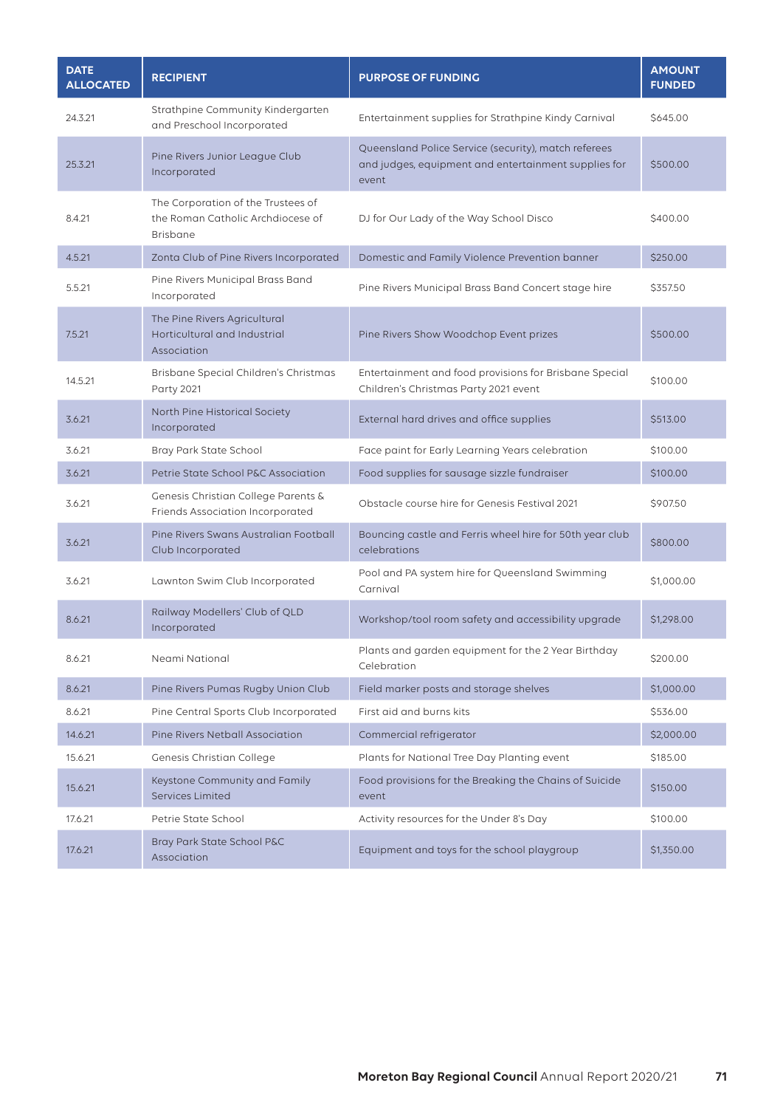| <b>DATE</b><br><b>ALLOCATED</b> | <b>RECIPIENT</b>                                                                           | <b>PURPOSE OF FUNDING</b>                                                                                             | <b>AMOUNT</b><br><b>FUNDED</b> |
|---------------------------------|--------------------------------------------------------------------------------------------|-----------------------------------------------------------------------------------------------------------------------|--------------------------------|
| 24.3.21                         | Strathpine Community Kindergarten<br>and Preschool Incorporated                            | Entertainment supplies for Strathpine Kindy Carnival                                                                  | \$645.00                       |
| 25.3.21                         | Pine Rivers Junior League Club<br>Incorporated                                             | Queensland Police Service (security), match referees<br>and judges, equipment and entertainment supplies for<br>event | \$500.00                       |
| 8.4.21                          | The Corporation of the Trustees of<br>the Roman Catholic Archdiocese of<br><b>Brisbane</b> | DJ for Our Lady of the Way School Disco                                                                               | \$400.00                       |
| 4.5.21                          | Zonta Club of Pine Rivers Incorporated                                                     | Domestic and Family Violence Prevention banner                                                                        | \$250.00                       |
| 5.5.21                          | Pine Rivers Municipal Brass Band<br>Incorporated                                           | Pine Rivers Municipal Brass Band Concert stage hire                                                                   | \$357.50                       |
| 7.5.21                          | The Pine Rivers Agricultural<br>Horticultural and Industrial<br>Association                | Pine Rivers Show Woodchop Event prizes                                                                                | \$500.00                       |
| 14.5.21                         | Brisbane Special Children's Christmas<br><b>Party 2021</b>                                 | Entertainment and food provisions for Brisbane Special<br>Children's Christmas Party 2021 event                       | \$100.00                       |
| 3.6.21                          | North Pine Historical Society<br>Incorporated                                              | External hard drives and office supplies                                                                              | \$513.00                       |
| 3.6.21                          | Bray Park State School                                                                     | Face paint for Early Learning Years celebration                                                                       | \$100.00                       |
| 3.6.21                          | Petrie State School P&C Association                                                        | Food supplies for sausage sizzle fundraiser                                                                           | \$100.00                       |
| 3.6.21                          | Genesis Christian College Parents &<br>Friends Association Incorporated                    | Obstacle course hire for Genesis Festival 2021                                                                        | \$907.50                       |
| 3.6.21                          | Pine Rivers Swans Australian Football<br>Club Incorporated                                 | Bouncing castle and Ferris wheel hire for 50th year club<br>celebrations                                              | \$800.00                       |
| 3.6.21                          | Lawnton Swim Club Incorporated                                                             | Pool and PA system hire for Queensland Swimming<br>Carnival                                                           | \$1,000.00                     |
| 8.6.21                          | Railway Modellers' Club of QLD<br>Incorporated                                             | Workshop/tool room safety and accessibility upgrade                                                                   | \$1,298.00                     |
| 8.6.21                          | Neami National                                                                             | Plants and garden equipment for the 2 Year Birthday<br>Celebration                                                    | \$200.00                       |
| 8.6.21                          | Pine Rivers Pumas Rugby Union Club                                                         | Field marker posts and storage shelves                                                                                | \$1,000.00                     |
| 8.6.21                          | Pine Central Sports Club Incorporated                                                      | First aid and burns kits                                                                                              | \$536.00                       |
| 14.6.21                         | Pine Rivers Netball Association                                                            | Commercial refrigerator                                                                                               | \$2,000.00                     |
| 15.6.21                         | Genesis Christian College                                                                  | Plants for National Tree Day Planting event                                                                           | \$185.00                       |
| 15.6.21                         | Keystone Community and Family<br><b>Services Limited</b>                                   | Food provisions for the Breaking the Chains of Suicide<br>event                                                       | \$150.00                       |
| 17.6.21                         | Petrie State School                                                                        | Activity resources for the Under 8's Day                                                                              | \$100.00                       |
| 17.6.21                         | Bray Park State School P&C<br>Association                                                  | Equipment and toys for the school playgroup                                                                           | \$1,350.00                     |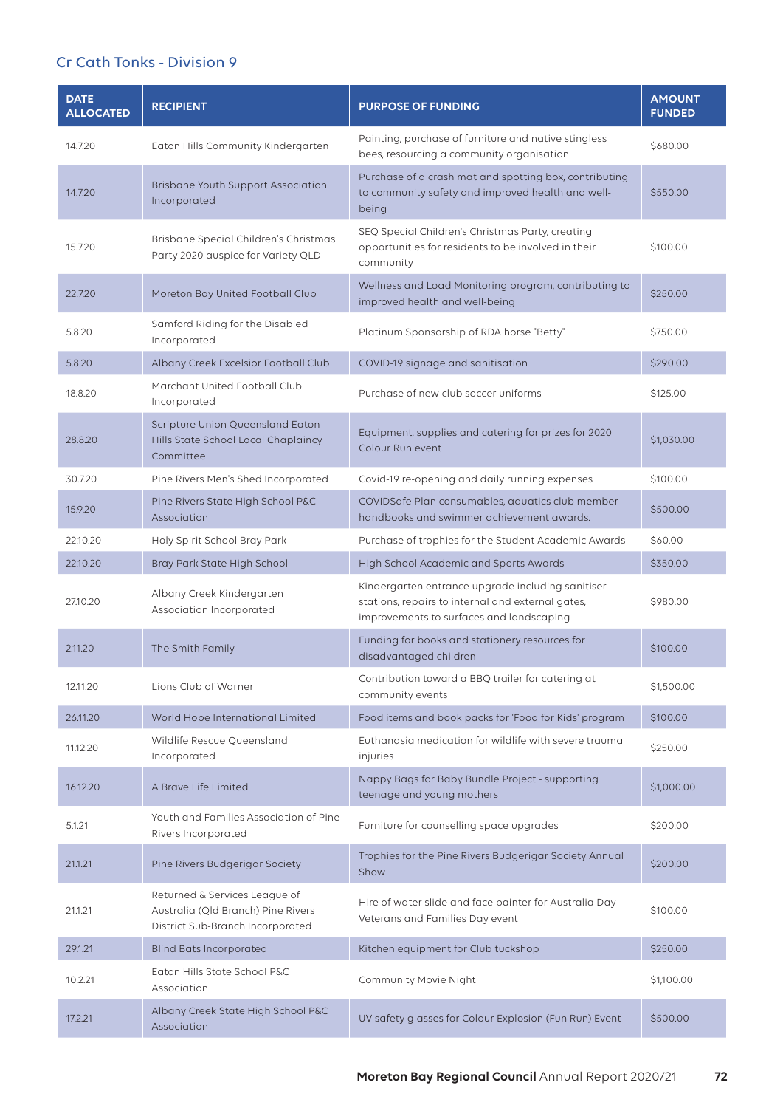## Cr Cath Tonks - Division 9

| <b>DATE</b><br><b>ALLOCATED</b> | <b>RECIPIENT</b>                                                                                        | <b>PURPOSE OF FUNDING</b>                                                                                                                          | <b>AMOUNT</b><br><b>FUNDED</b> |
|---------------------------------|---------------------------------------------------------------------------------------------------------|----------------------------------------------------------------------------------------------------------------------------------------------------|--------------------------------|
| 14.7.20                         | Eaton Hills Community Kindergarten                                                                      | Painting, purchase of furniture and native stingless<br>bees, resourcing a community organisation                                                  | \$680.00                       |
| 14.7.20                         | <b>Brisbane Youth Support Association</b><br>Incorporated                                               | Purchase of a crash mat and spotting box, contributing<br>to community safety and improved health and well-<br>being                               | \$550.00                       |
| 15.7.20                         | Brisbane Special Children's Christmas<br>Party 2020 auspice for Variety QLD                             | SEQ Special Children's Christmas Party, creating<br>opportunities for residents to be involved in their<br>community                               | \$100.00                       |
| 22.7.20                         | Moreton Bay United Football Club                                                                        | Wellness and Load Monitoring program, contributing to<br>improved health and well-being                                                            | \$250.00                       |
| 5.8.20                          | Samford Riding for the Disabled<br>Incorporated                                                         | Platinum Sponsorship of RDA horse "Betty"                                                                                                          | \$750.00                       |
| 5.8.20                          | Albany Creek Excelsior Football Club                                                                    | COVID-19 signage and sanitisation                                                                                                                  | \$290.00                       |
| 18.8.20                         | Marchant United Football Club<br>Incorporated                                                           | Purchase of new club soccer uniforms                                                                                                               | \$125.00                       |
| 28.8.20                         | Scripture Union Queensland Eaton<br>Hills State School Local Chaplaincy<br>Committee                    | Equipment, supplies and catering for prizes for 2020<br>Colour Run event                                                                           | \$1,030.00                     |
| 30.7.20                         | Pine Rivers Men's Shed Incorporated                                                                     | Covid-19 re-opening and daily running expenses                                                                                                     | \$100.00                       |
| 15.9.20                         | Pine Rivers State High School P&C<br>Association                                                        | COVIDSafe Plan consumables, aquatics club member<br>handbooks and swimmer achievement awards.                                                      | \$500.00                       |
| 22.10.20                        | Holy Spirit School Bray Park                                                                            | Purchase of trophies for the Student Academic Awards                                                                                               | \$60.00                        |
| 22.10.20                        | Bray Park State High School                                                                             | High School Academic and Sports Awards                                                                                                             | \$350.00                       |
| 27.10.20                        | Albany Creek Kindergarten<br>Association Incorporated                                                   | Kindergarten entrance upgrade including sanitiser<br>stations, repairs to internal and external gates,<br>improvements to surfaces and landscaping | \$980.00                       |
| 2.11.20                         | The Smith Family                                                                                        | Funding for books and stationery resources for<br>disadvantaged children                                                                           | \$100.00                       |
| 12.11.20                        | Lions Club of Warner                                                                                    | Contribution toward a BBQ trailer for catering at<br>community events                                                                              | \$1,500.00                     |
| 26.11.20                        | World Hope International Limited                                                                        | Food items and book packs for 'Food for Kids' program                                                                                              | \$100.00                       |
| 11.12.20                        | Wildlife Rescue Queensland<br>Incorporated                                                              | Euthanasia medication for wildlife with severe trauma<br>injuries                                                                                  | \$250.00                       |
| 16.12.20                        | A Brave Life Limited                                                                                    | Nappy Bags for Baby Bundle Project - supporting<br>teenage and young mothers                                                                       | \$1,000.00                     |
| 5.1.21                          | Youth and Families Association of Pine<br>Rivers Incorporated                                           | Furniture for counselling space upgrades                                                                                                           | \$200.00                       |
| 21.1.21                         | Pine Rivers Budgerigar Society                                                                          | Trophies for the Pine Rivers Budgerigar Society Annual<br>Show                                                                                     | \$200.00                       |
| 21.1.21                         | Returned & Services League of<br>Australia (Qld Branch) Pine Rivers<br>District Sub-Branch Incorporated | Hire of water slide and face painter for Australia Day<br>Veterans and Families Day event                                                          | \$100.00                       |
| 29.1.21                         | <b>Blind Bats Incorporated</b>                                                                          | Kitchen equipment for Club tuckshop                                                                                                                | \$250.00                       |
| 10.2.21                         | Eaton Hills State School P&C<br>Association                                                             | Community Movie Night                                                                                                                              | \$1,100.00                     |
| 17.2.21                         | Albany Creek State High School P&C<br>Association                                                       | UV safety glasses for Colour Explosion (Fun Run) Event                                                                                             | \$500.00                       |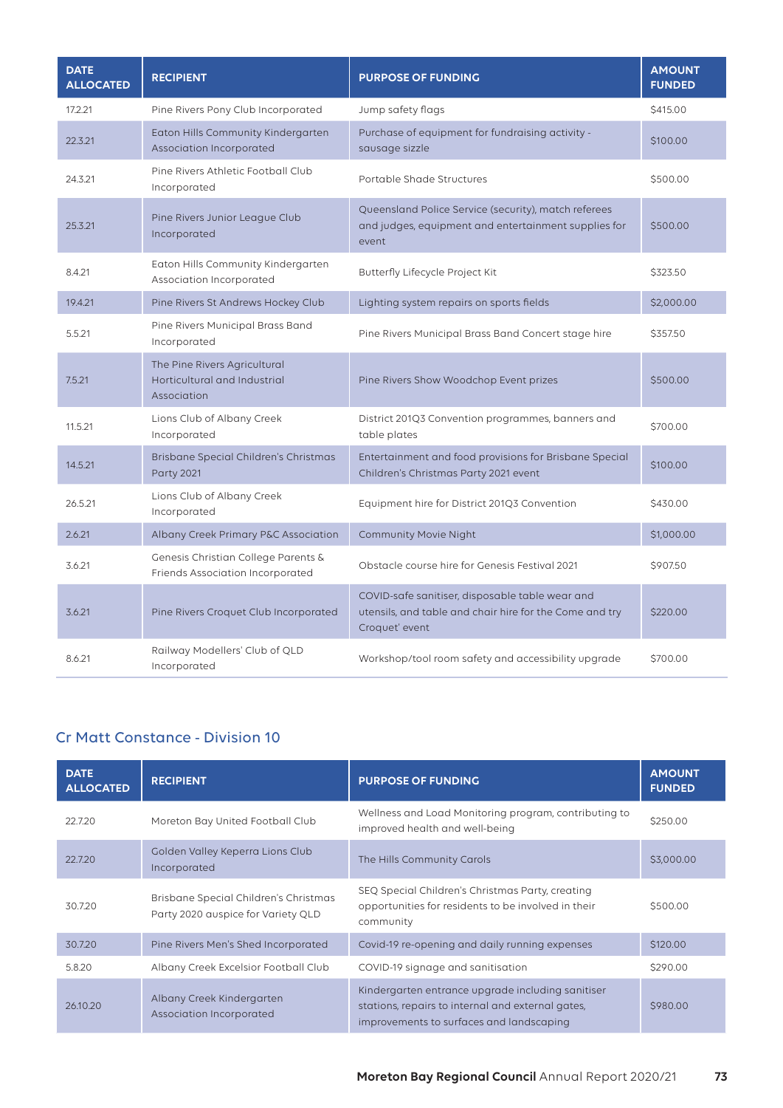| <b>DATE</b><br><b>ALLOCATED</b> | <b>RECIPIENT</b>                                                            | <b>PURPOSE OF FUNDING</b>                                                                                                    | <b>AMOUNT</b><br><b>FUNDED</b> |
|---------------------------------|-----------------------------------------------------------------------------|------------------------------------------------------------------------------------------------------------------------------|--------------------------------|
| 17.2.21                         | Pine Rivers Pony Club Incorporated                                          | Jump safety flags                                                                                                            | \$415.00                       |
| 22.3.21                         | Eaton Hills Community Kindergarten<br>Association Incorporated              | Purchase of equipment for fundraising activity -<br>sausage sizzle                                                           | \$100.00                       |
| 24.3.21                         | Pine Rivers Athletic Football Club<br>Incorporated                          | Portable Shade Structures                                                                                                    | \$500.00                       |
| 25.3.21                         | Pine Rivers Junior League Club<br>Incorporated                              | Queensland Police Service (security), match referees<br>and judges, equipment and entertainment supplies for<br>event        | \$500.00                       |
| 8.4.21                          | Eaton Hills Community Kindergarten<br>Association Incorporated              | Butterfly Lifecycle Project Kit                                                                                              | \$323.50                       |
| 19.4.21                         | Pine Rivers St Andrews Hockey Club                                          | Lighting system repairs on sports fields                                                                                     | \$2,000.00                     |
| 5.5.21                          | Pine Rivers Municipal Brass Band<br>Incorporated                            | Pine Rivers Municipal Brass Band Concert stage hire                                                                          | \$357.50                       |
| 7.5.21                          | The Pine Rivers Agricultural<br>Horticultural and Industrial<br>Association | Pine Rivers Show Woodchop Event prizes                                                                                       | \$500.00                       |
| 11.5.21                         | Lions Club of Albany Creek<br>Incorporated                                  | District 201Q3 Convention programmes, banners and<br>table plates                                                            | \$700.00                       |
| 14.5.21                         | Brisbane Special Children's Christmas<br><b>Party 2021</b>                  | Entertainment and food provisions for Brisbane Special<br>Children's Christmas Party 2021 event                              | \$100.00                       |
| 26.5.21                         | Lions Club of Albany Creek<br>Incorporated                                  | Equipment hire for District 201Q3 Convention                                                                                 | \$430.00                       |
| 2.6.21                          | Albany Creek Primary P&C Association                                        | Community Movie Night                                                                                                        | \$1,000.00                     |
| 3.6.21                          | Genesis Christian College Parents &<br>Friends Association Incorporated     | Obstacle course hire for Genesis Festival 2021                                                                               | \$907.50                       |
| 3.6.21                          | Pine Rivers Croquet Club Incorporated                                       | COVID-safe sanitiser, disposable table wear and<br>utensils, and table and chair hire for the Come and try<br>Croquet' event | \$220.00                       |
| 8.6.21                          | Railway Modellers' Club of QLD<br>Incorporated                              | Workshop/tool room safety and accessibility upgrade                                                                          | \$700.00                       |

## Cr Matt Constance - Division 10

| <b>DATE</b><br><b>ALLOCATED</b> | <b>RECIPIENT</b>                                                            | <b>PURPOSE OF FUNDING</b>                                                                                                                          | <b>AMOUNT</b><br><b>FUNDED</b> |
|---------------------------------|-----------------------------------------------------------------------------|----------------------------------------------------------------------------------------------------------------------------------------------------|--------------------------------|
| 22.7.20                         | Moreton Bay United Football Club                                            | Wellness and Load Monitoring program, contributing to<br>improved health and well-being                                                            | \$250.00                       |
| 22.7.20                         | Golden Valley Keperra Lions Club<br>Incorporated                            | The Hills Community Carols                                                                                                                         | \$3,000.00                     |
| 30.7.20                         | Brisbane Special Children's Christmas<br>Party 2020 auspice for Variety QLD | SEQ Special Children's Christmas Party, creating<br>opportunities for residents to be involved in their<br>community                               | \$500.00                       |
| 30.7.20                         | Pine Rivers Men's Shed Incorporated                                         | Covid-19 re-opening and daily running expenses                                                                                                     | \$120,00                       |
| 5.8.20                          | Albany Creek Excelsior Football Club                                        | COVID-19 signage and sanitisation                                                                                                                  | \$290.00                       |
| 26.10.20                        | Albany Creek Kindergarten<br>Association Incorporated                       | Kindergarten entrance upgrade including sanitiser<br>stations, repairs to internal and external gates,<br>improvements to surfaces and landscaping | \$980.00                       |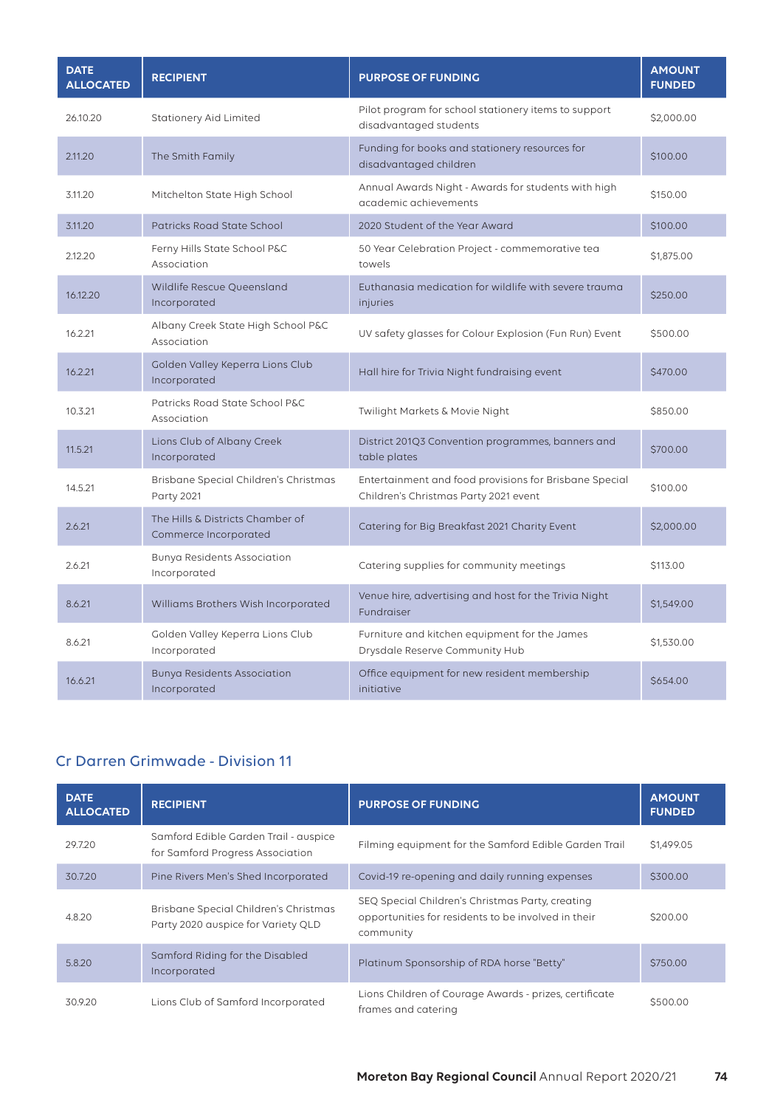| <b>DATE</b><br><b>ALLOCATED</b> | <b>RECIPIENT</b>                                           | <b>PURPOSE OF FUNDING</b>                                                                       | <b>AMOUNT</b><br><b>FUNDED</b> |
|---------------------------------|------------------------------------------------------------|-------------------------------------------------------------------------------------------------|--------------------------------|
| 26.10.20                        | <b>Stationery Aid Limited</b>                              | Pilot program for school stationery items to support<br>disadvantaged students                  | \$2,000.00                     |
| 2.11.20                         | The Smith Family                                           | Funding for books and stationery resources for<br>disadvantaged children                        | \$100.00                       |
| 3.11.20                         | Mitchelton State High School                               | Annual Awards Night - Awards for students with high<br>academic achievements                    | \$150.00                       |
| 3.11.20                         | Patricks Road State School                                 | 2020 Student of the Year Award                                                                  | \$100.00                       |
| 2.12.20                         | Ferny Hills State School P&C<br>Association                | 50 Year Celebration Project - commemorative tea<br>towels                                       | \$1,875.00                     |
| 16.12.20                        | Wildlife Rescue Queensland<br>Incorporated                 | Euthanasia medication for wildlife with severe trauma<br>injuries                               | \$250.00                       |
| 16.2.21                         | Albany Creek State High School P&C<br>Association          | UV safety glasses for Colour Explosion (Fun Run) Event                                          | \$500.00                       |
| 16.2.21                         | Golden Valley Keperra Lions Club<br>Incorporated           | Hall hire for Trivia Night fundraising event                                                    | \$470.00                       |
| 10.3.21                         | Patricks Road State School P&C<br>Association              | Twilight Markets & Movie Night                                                                  | \$850.00                       |
| 11.5.21                         | Lions Club of Albany Creek<br>Incorporated                 | District 201Q3 Convention programmes, banners and<br>table plates                               | \$700.00                       |
| 14.5.21                         | Brisbane Special Children's Christmas<br><b>Party 2021</b> | Entertainment and food provisions for Brisbane Special<br>Children's Christmas Party 2021 event | \$100.00                       |
| 2.6.21                          | The Hills & Districts Chamber of<br>Commerce Incorporated  | Catering for Big Breakfast 2021 Charity Event                                                   | \$2,000.00                     |
| 2.6.21                          | Bunya Residents Association<br>Incorporated                | Catering supplies for community meetings                                                        | \$113.00                       |
| 8.6.21                          | Williams Brothers Wish Incorporated                        | Venue hire, advertising and host for the Trivia Night<br>Fundraiser                             | \$1,549.00                     |
| 8.6.21                          | Golden Valley Keperra Lions Club<br>Incorporated           | Furniture and kitchen equipment for the James<br>Drysdale Reserve Community Hub                 | \$1,530.00                     |
| 16.6.21                         | <b>Bunya Residents Association</b><br>Incorporated         | Office equipment for new resident membership<br>initiative                                      | \$654.00                       |

# Cr Darren Grimwade - Division 11

| <b>DATE</b><br><b>ALLOCATED</b> | <b>RECIPIENT</b>                                                            | <b>PURPOSE OF FUNDING</b>                                                                                            | <b>AMOUNT</b><br><b>FUNDED</b> |
|---------------------------------|-----------------------------------------------------------------------------|----------------------------------------------------------------------------------------------------------------------|--------------------------------|
| 29.7.20                         | Samford Edible Garden Trail - auspice<br>for Samford Progress Association   | Filming equipment for the Samford Edible Garden Trail                                                                | \$1,499.05                     |
| 30.7.20                         | Pine Rivers Men's Shed Incorporated                                         | Covid-19 re-opening and daily running expenses                                                                       | \$300.00                       |
| 4.8.20                          | Brisbane Special Children's Christmas<br>Party 2020 auspice for Variety QLD | SEQ Special Children's Christmas Party, creating<br>opportunities for residents to be involved in their<br>community | \$200.00                       |
| 5.8.20                          | Samford Riding for the Disabled<br>Incorporated                             | Platinum Sponsorship of RDA horse "Betty"                                                                            | \$750.00                       |
| 30.9.20                         | Lions Club of Samford Incorporated                                          | Lions Children of Courage Awards - prizes, certificate<br>frames and catering                                        | \$500.00                       |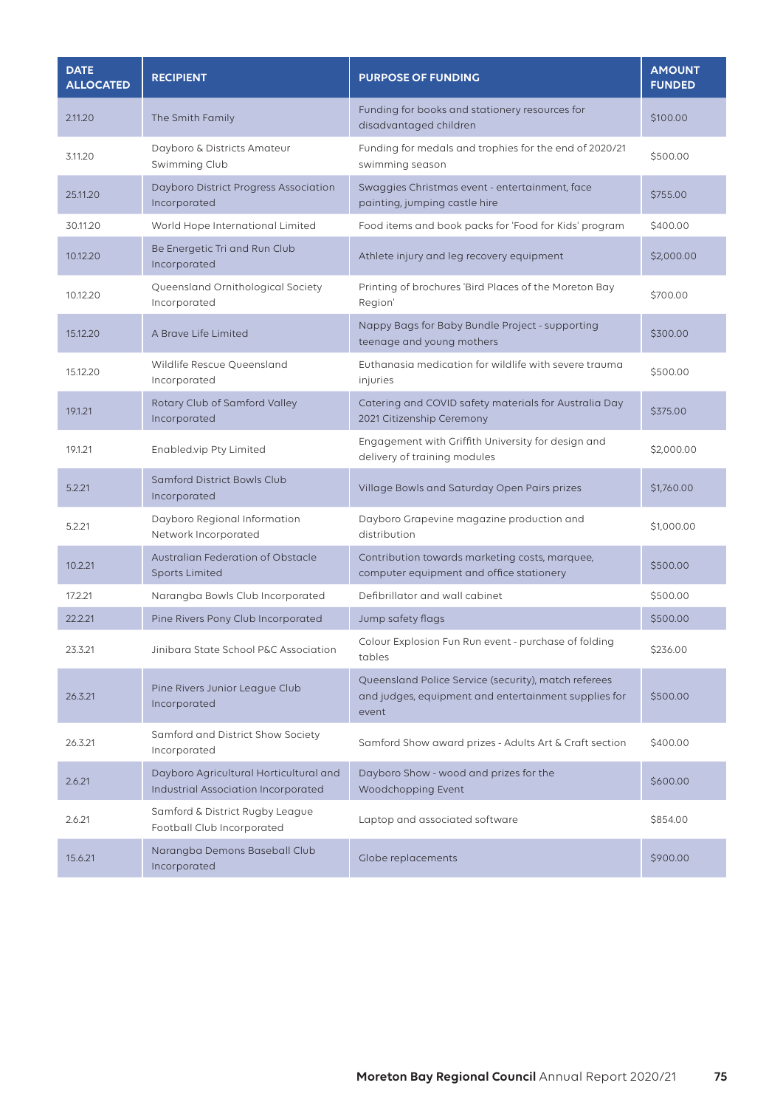| <b>DATE</b><br><b>ALLOCATED</b> | <b>RECIPIENT</b>                                                              | <b>PURPOSE OF FUNDING</b>                                                                                             | <b>AMOUNT</b><br><b>FUNDED</b> |
|---------------------------------|-------------------------------------------------------------------------------|-----------------------------------------------------------------------------------------------------------------------|--------------------------------|
| 2.11.20                         | The Smith Family                                                              | Funding for books and stationery resources for<br>disadvantaged children                                              | \$100.00                       |
| 3.11.20                         | Dayboro & Districts Amateur<br>Swimming Club                                  | Funding for medals and trophies for the end of 2020/21<br>swimming season                                             | \$500.00                       |
| 25.11.20                        | Dayboro District Progress Association<br>Incorporated                         | Swaggies Christmas event - entertainment, face<br>painting, jumping castle hire                                       | \$755.00                       |
| 30.11.20                        | World Hope International Limited                                              | Food items and book packs for 'Food for Kids' program                                                                 | \$400.00                       |
| 10.12.20                        | Be Energetic Tri and Run Club<br>Incorporated                                 | Athlete injury and leg recovery equipment                                                                             | \$2,000.00                     |
| 10.12.20                        | Queensland Ornithological Society<br>Incorporated                             | Printing of brochures 'Bird Places of the Moreton Bay<br>Region'                                                      | \$700.00                       |
| 15.12.20                        | A Brave Life Limited                                                          | Nappy Bags for Baby Bundle Project - supporting<br>teenage and young mothers                                          | \$300.00                       |
| 15.12.20                        | Wildlife Rescue Queensland<br>Incorporated                                    | Euthanasia medication for wildlife with severe trauma<br>injuries                                                     | \$500.00                       |
| 19.1.21                         | Rotary Club of Samford Valley<br>Incorporated                                 | Catering and COVID safety materials for Australia Day<br>2021 Citizenship Ceremony                                    | \$375.00                       |
| 19.1.21                         | Enabled.vip Pty Limited                                                       | Engagement with Griffith University for design and<br>delivery of training modules                                    | \$2,000.00                     |
| 5.2.21                          | Samford District Bowls Club<br>Incorporated                                   | Village Bowls and Saturday Open Pairs prizes                                                                          | \$1,760.00                     |
| 5.2.21                          | Dayboro Regional Information<br>Network Incorporated                          | Dayboro Grapevine magazine production and<br>distribution                                                             | \$1,000.00                     |
| 10.2.21                         | Australian Federation of Obstacle<br><b>Sports Limited</b>                    | Contribution towards marketing costs, marquee,<br>computer equipment and office stationery                            | \$500.00                       |
| 17.2.21                         | Narangba Bowls Club Incorporated                                              | Defibrillator and wall cabinet                                                                                        | \$500.00                       |
| 22.2.21                         | Pine Rivers Pony Club Incorporated                                            | Jump safety flags                                                                                                     | \$500.00                       |
| 23.3.21                         | Jinibara State School P&C Association                                         | Colour Explosion Fun Run event - purchase of folding<br>tables                                                        | \$236.00                       |
| 26.3.21                         | Pine Rivers Junior League Club<br>Incorporated                                | Queensland Police Service (security), match referees<br>and judges, equipment and entertainment supplies for<br>event | \$500.00                       |
| 26.3.21                         | Samford and District Show Society<br>Incorporated                             | Samford Show award prizes - Adults Art & Craft section                                                                | \$400.00                       |
| 2.6.21                          | Dayboro Agricultural Horticultural and<br>Industrial Association Incorporated | Dayboro Show - wood and prizes for the<br>Woodchopping Event                                                          | \$600.00                       |
| 2.6.21                          | Samford & District Rugby League<br>Football Club Incorporated                 | Laptop and associated software                                                                                        | \$854.00                       |
| 15.6.21                         | Narangba Demons Baseball Club<br>Incorporated                                 | Globe replacements                                                                                                    | \$900.00                       |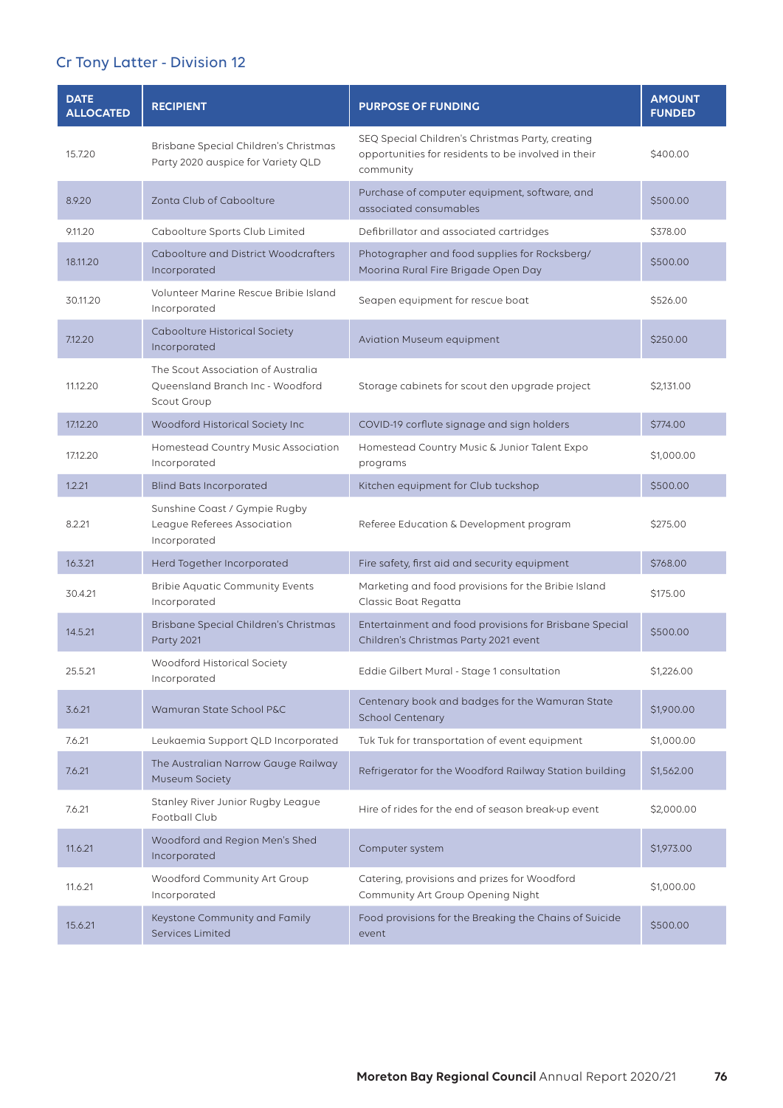# Cr Tony Latter - Division 12

| <b>DATE</b><br><b>ALLOCATED</b> | <b>RECIPIENT</b>                                                                      | <b>PURPOSE OF FUNDING</b>                                                                                            | <b>AMOUNT</b><br><b>FUNDED</b> |
|---------------------------------|---------------------------------------------------------------------------------------|----------------------------------------------------------------------------------------------------------------------|--------------------------------|
| 15.7.20                         | Brisbane Special Children's Christmas<br>Party 2020 auspice for Variety QLD           | SEQ Special Children's Christmas Party, creating<br>opportunities for residents to be involved in their<br>community | \$400.00                       |
| 8.9.20                          | Zonta Club of Caboolture                                                              | Purchase of computer equipment, software, and<br>associated consumables                                              | \$500.00                       |
| 9.11.20                         | Caboolture Sports Club Limited                                                        | Defibrillator and associated cartridges                                                                              | \$378.00                       |
| 18.11.20                        | Caboolture and District Woodcrafters<br>Incorporated                                  | Photographer and food supplies for Rocksberg/<br>Moorina Rural Fire Brigade Open Day                                 | \$500.00                       |
| 30.11.20                        | Volunteer Marine Rescue Bribie Island<br>Incorporated                                 | Seapen equipment for rescue boat                                                                                     | \$526.00                       |
| 7.12.20                         | Caboolture Historical Society<br>Incorporated                                         | Aviation Museum equipment                                                                                            | \$250.00                       |
| 11.12.20                        | The Scout Association of Australia<br>Queensland Branch Inc - Woodford<br>Scout Group | Storage cabinets for scout den upgrade project                                                                       | \$2,131.00                     |
| 17.12.20                        | Woodford Historical Society Inc                                                       | COVID-19 corflute signage and sign holders                                                                           | \$774.00                       |
| 17.12.20                        | Homestead Country Music Association<br>Incorporated                                   | Homestead Country Music & Junior Talent Expo<br>programs                                                             | \$1,000.00                     |
| 1.2.21                          | <b>Blind Bats Incorporated</b>                                                        | Kitchen equipment for Club tuckshop                                                                                  | \$500.00                       |
| 8.2.21                          | Sunshine Coast / Gympie Rugby<br>League Referees Association<br>Incorporated          | Referee Education & Development program                                                                              | \$275.00                       |
| 16.3.21                         | Herd Together Incorporated                                                            | Fire safety, first aid and security equipment                                                                        | \$768.00                       |
| 30.4.21                         | <b>Bribie Aquatic Community Events</b><br>Incorporated                                | Marketing and food provisions for the Bribie Island<br>Classic Boat Regatta                                          | \$175.00                       |
| 14.5.21                         | Brisbane Special Children's Christmas<br><b>Party 2021</b>                            | Entertainment and food provisions for Brisbane Special<br>Children's Christmas Party 2021 event                      | \$500.00                       |
| 25.5.21                         | Woodford Historical Society<br>Incorporated                                           | Eddie Gilbert Mural - Stage 1 consultation                                                                           | \$1,226.00                     |
| 3.6.21                          | Wamuran State School P&C                                                              | Centenary book and badges for the Wamuran State<br><b>School Centenary</b>                                           | \$1,900.00                     |
| 7.6.21                          | Leukaemia Support QLD Incorporated                                                    | Tuk Tuk for transportation of event equipment                                                                        | \$1,000.00                     |
| 7.6.21                          | The Australian Narrow Gauge Railway<br>Museum Society                                 | Refrigerator for the Woodford Railway Station building                                                               | \$1,562.00                     |
| 7.6.21                          | Stanley River Junior Rugby League<br>Football Club                                    | Hire of rides for the end of season break-up event                                                                   | \$2,000.00                     |
| 11.6.21                         | Woodford and Region Men's Shed<br>Incorporated                                        | Computer system                                                                                                      | \$1,973.00                     |
| 11.6.21                         | Woodford Community Art Group<br>Incorporated                                          | Catering, provisions and prizes for Woodford<br>Community Art Group Opening Night                                    | \$1,000.00                     |
| 15.6.21                         | Keystone Community and Family<br><b>Services Limited</b>                              | Food provisions for the Breaking the Chains of Suicide<br>event                                                      | \$500.00                       |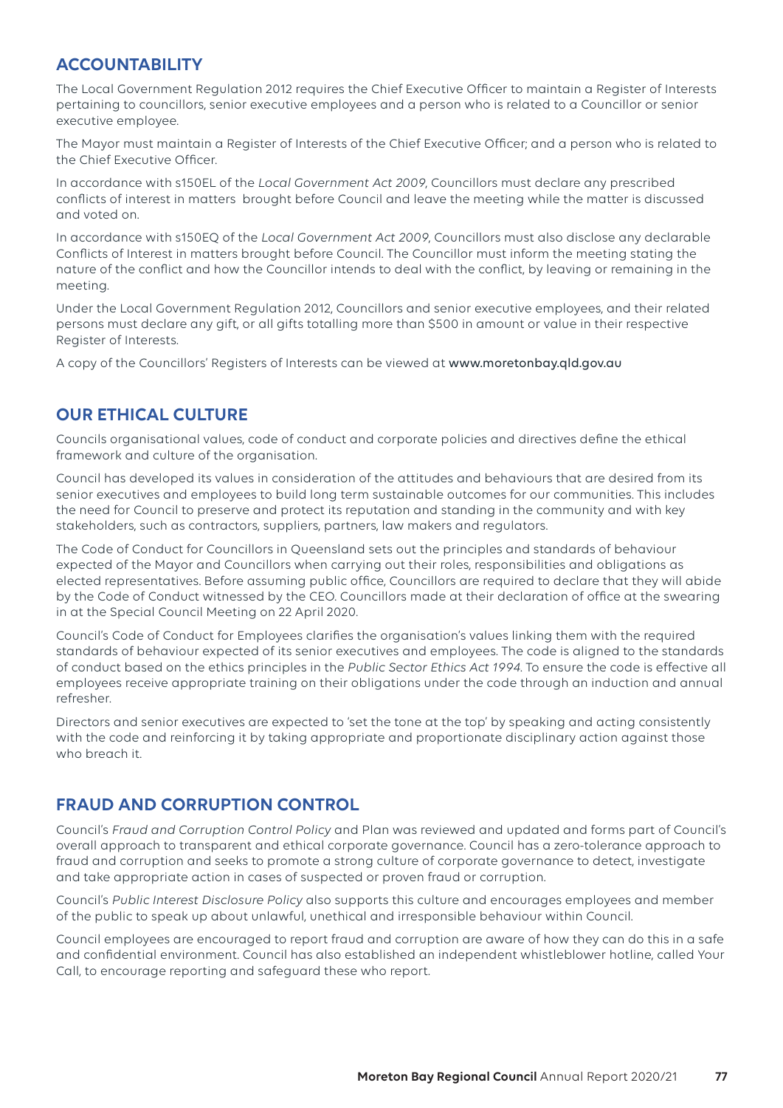# **ACCOUNTABILITY**

The Local Government Regulation 2012 requires the Chief Executive Officer to maintain a Register of Interests pertaining to councillors, senior executive employees and a person who is related to a Councillor or senior executive employee.

The Mayor must maintain a Register of Interests of the Chief Executive Officer; and a person who is related to the Chief Executive Officer.

In accordance with s150EL of the *Local Government Act 2009*, Councillors must declare any prescribed conflicts of interest in matters brought before Council and leave the meeting while the matter is discussed and voted on.

In accordance with s150EQ of the *Local Government Act 2009*, Councillors must also disclose any declarable Conflicts of Interest in matters brought before Council. The Councillor must inform the meeting stating the nature of the conflict and how the Councillor intends to deal with the conflict, by leaving or remaining in the meeting.

Under the Local Government Regulation 2012, Councillors and senior executive employees, and their related persons must declare any gift, or all gifts totalling more than \$500 in amount or value in their respective Register of Interests.

A copy of the Councillors' Registers of Interests can be viewed at www.moretonbay.qld.gov.au

## **OUR ETHICAL CULTURE**

Councils organisational values, code of conduct and corporate policies and directives define the ethical framework and culture of the organisation.

Council has developed its values in consideration of the attitudes and behaviours that are desired from its senior executives and employees to build long term sustainable outcomes for our communities. This includes the need for Council to preserve and protect its reputation and standing in the community and with key stakeholders, such as contractors, suppliers, partners, law makers and regulators.

The Code of Conduct for Councillors in Queensland sets out the principles and standards of behaviour expected of the Mayor and Councillors when carrying out their roles, responsibilities and obligations as elected representatives. Before assuming public office, Councillors are required to declare that they will abide by the Code of Conduct witnessed by the CEO. Councillors made at their declaration of office at the swearing in at the Special Council Meeting on 22 April 2020.

Council's Code of Conduct for Employees clarifies the organisation's values linking them with the required standards of behaviour expected of its senior executives and employees. The code is aligned to the standards of conduct based on the ethics principles in the *Public Sector Ethics Act 1994*. To ensure the code is effective all employees receive appropriate training on their obligations under the code through an induction and annual refresher.

Directors and senior executives are expected to 'set the tone at the top' by speaking and acting consistently with the code and reinforcing it by taking appropriate and proportionate disciplinary action against those who breach it.

## **FRAUD AND CORRUPTION CONTROL**

Council's *Fraud and Corruption Control Policy* and Plan was reviewed and updated and forms part of Council's overall approach to transparent and ethical corporate governance. Council has a zero-tolerance approach to fraud and corruption and seeks to promote a strong culture of corporate governance to detect, investigate and take appropriate action in cases of suspected or proven fraud or corruption.

Council's *Public Interest Disclosure Policy* also supports this culture and encourages employees and member of the public to speak up about unlawful, unethical and irresponsible behaviour within Council.

Council employees are encouraged to report fraud and corruption are aware of how they can do this in a safe and confidential environment. Council has also established an independent whistleblower hotline, called Your Call, to encourage reporting and safeguard these who report.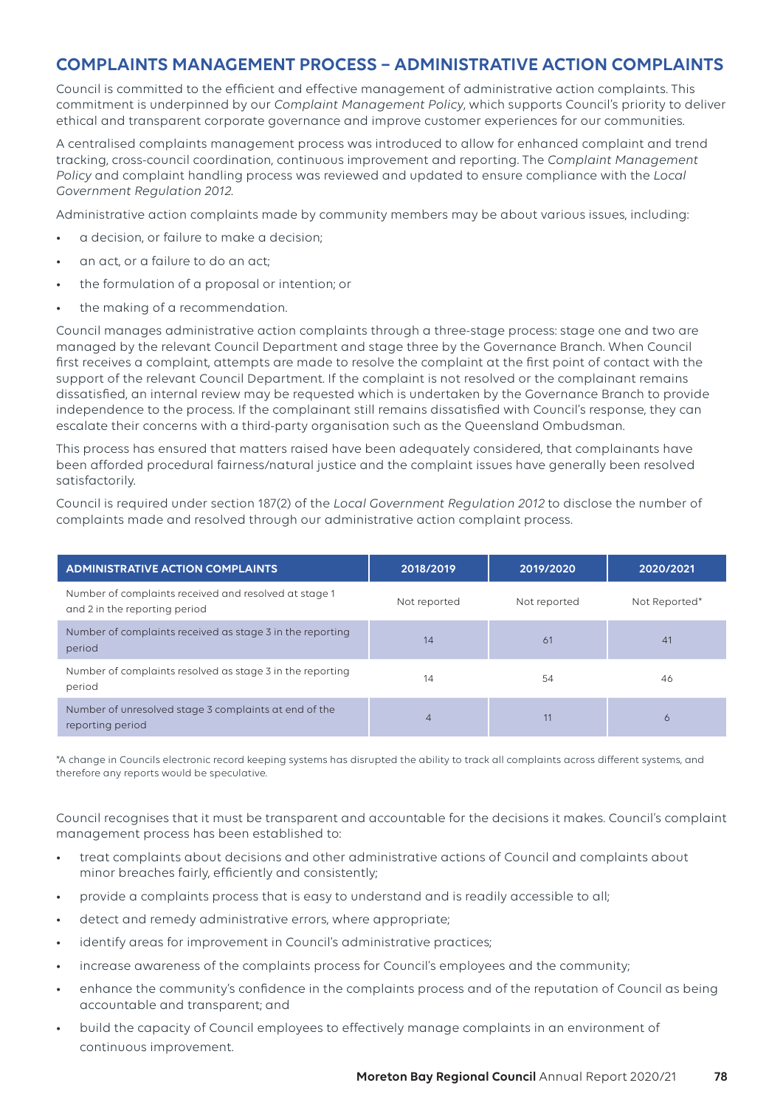# **COMPLAINTS MANAGEMENT PROCESS – ADMINISTRATIVE ACTION COMPLAINTS**

Council is committed to the efficient and effective management of administrative action complaints. This commitment is underpinned by our *Complaint Management Policy*, which supports Council's priority to deliver ethical and transparent corporate governance and improve customer experiences for our communities.

A centralised complaints management process was introduced to allow for enhanced complaint and trend tracking, cross-council coordination, continuous improvement and reporting. The *Complaint Management Policy* and complaint handling process was reviewed and updated to ensure compliance with the *Local Government Regulation 2012*.

Administrative action complaints made by community members may be about various issues, including:

- a decision, or failure to make a decision;
- an act, or a failure to do an act;
- the formulation of a proposal or intention; or
- the making of a recommendation.

Council manages administrative action complaints through a three-stage process: stage one and two are managed by the relevant Council Department and stage three by the Governance Branch. When Council first receives a complaint, attempts are made to resolve the complaint at the first point of contact with the support of the relevant Council Department. If the complaint is not resolved or the complainant remains dissatisfied, an internal review may be requested which is undertaken by the Governance Branch to provide independence to the process. If the complainant still remains dissatisfied with Council's response, they can escalate their concerns with a third-party organisation such as the Queensland Ombudsman.

This process has ensured that matters raised have been adequately considered, that complainants have been afforded procedural fairness/natural justice and the complaint issues have generally been resolved satisfactorily.

Council is required under section 187(2) of the *Local Government Regulation 2012* to disclose the number of complaints made and resolved through our administrative action complaint process.

| <b>ADMINISTRATIVE ACTION COMPLAINTS</b>                                                | 2018/2019    | 2019/2020    | 2020/2021     |
|----------------------------------------------------------------------------------------|--------------|--------------|---------------|
| Number of complaints received and resolved at stage 1<br>and 2 in the reporting period | Not reported | Not reported | Not Reported* |
| Number of complaints received as stage 3 in the reporting<br>period                    | 14           | 61           | 41            |
| Number of complaints resolved as stage 3 in the reporting<br>period                    | 14           | 54           | 46            |
| Number of unresolved stage 3 complaints at end of the<br>reporting period              | 4            | 11           | Ó             |

\*A change in Councils electronic record keeping systems has disrupted the ability to track all complaints across different systems, and therefore any reports would be speculative.

Council recognises that it must be transparent and accountable for the decisions it makes. Council's complaint management process has been established to:

- treat complaints about decisions and other administrative actions of Council and complaints about minor breaches fairly, efficiently and consistently;
- provide a complaints process that is easy to understand and is readily accessible to all;
- detect and remedy administrative errors, where appropriate;
- identify areas for improvement in Council's administrative practices;
- increase awareness of the complaints process for Council's employees and the community;
- enhance the community's confidence in the complaints process and of the reputation of Council as being accountable and transparent; and
- build the capacity of Council employees to effectively manage complaints in an environment of continuous improvement.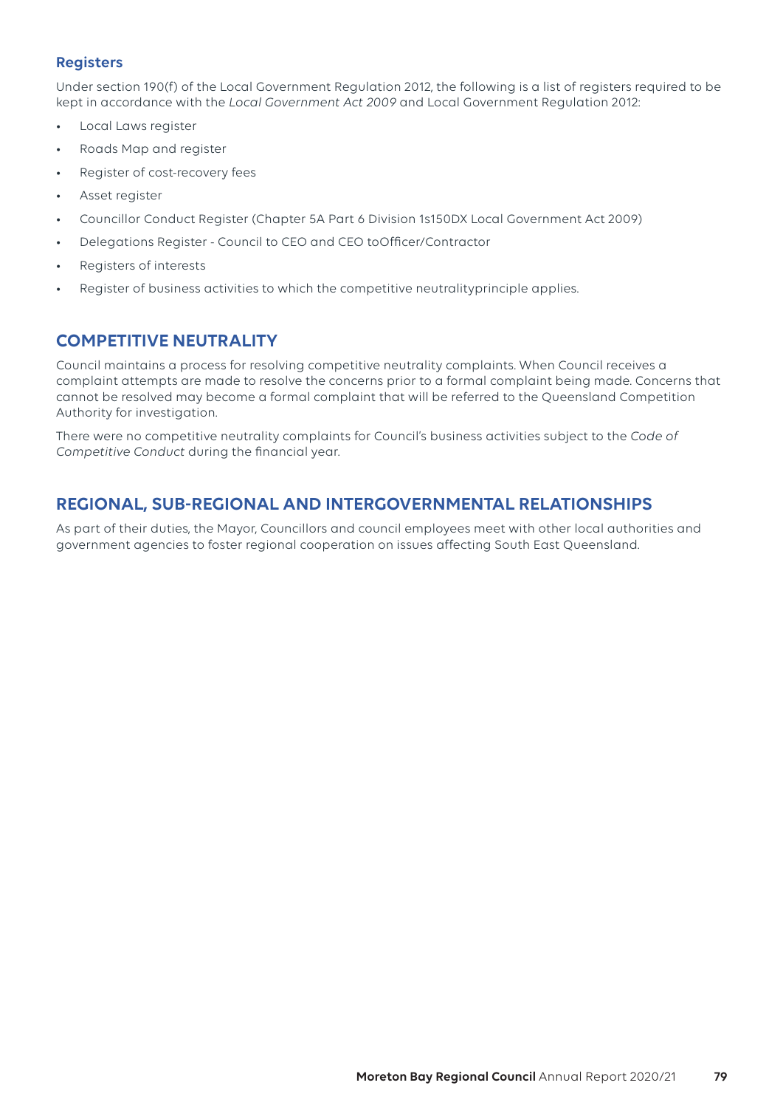## **Registers**

Under section 190(f) of the Local Government Regulation 2012, the following is a list of registers required to be kept in accordance with the *Local Government Act 2009* and Local Government Regulation 2012:

- Local Laws register
- Roads Map and register
- Register of cost-recovery fees
- Asset register
- Councillor Conduct Register (Chapter 5A Part 6 Division 1s150DX Local Government Act 2009)
- Delegations Register Council to CEO and CEO toOfficer/Contractor
- Registers of interests
- Register of business activities to which the competitive neutralityprinciple applies.

## **COMPETITIVE NEUTRALITY**

Council maintains a process for resolving competitive neutrality complaints. When Council receives a complaint attempts are made to resolve the concerns prior to a formal complaint being made. Concerns that cannot be resolved may become a formal complaint that will be referred to the Queensland Competition Authority for investigation.

There were no competitive neutrality complaints for Council's business activities subject to the *Code of Competitive Conduct* during the financial year.

## **REGIONAL, SUB-REGIONAL AND INTERGOVERNMENTAL RELATIONSHIPS**

As part of their duties, the Mayor, Councillors and council employees meet with other local authorities and government agencies to foster regional cooperation on issues affecting South East Queensland.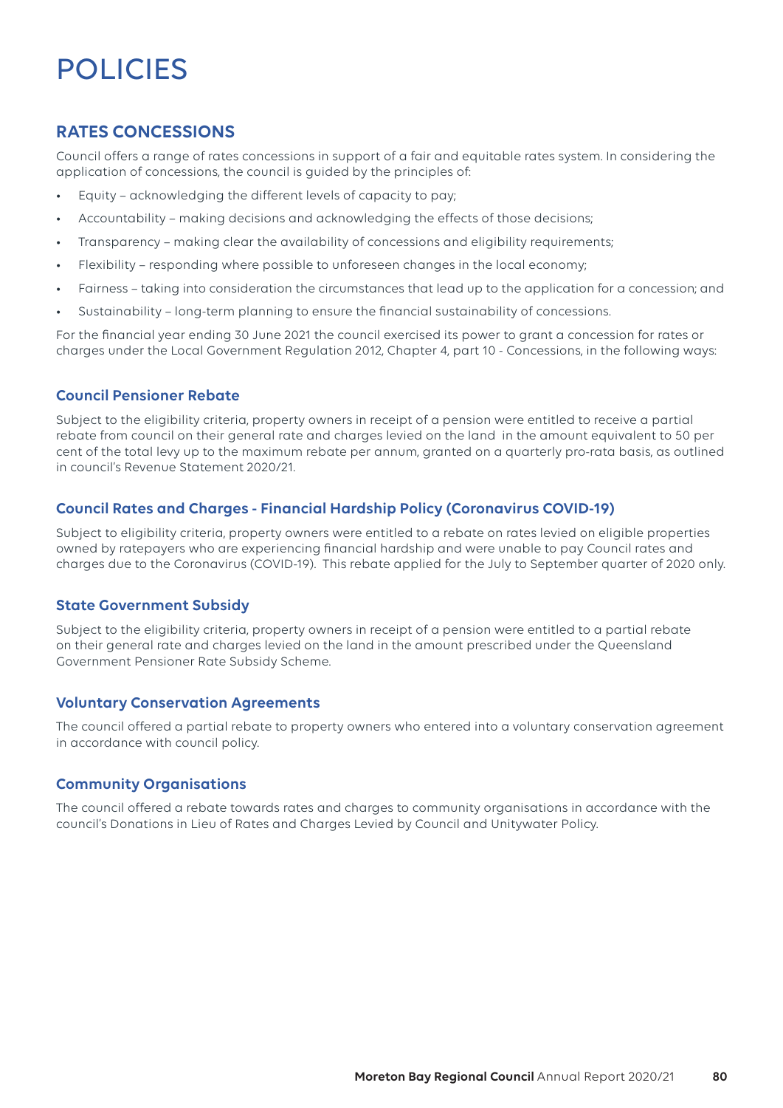# POLICIES

## **RATES CONCESSIONS**

Council offers a range of rates concessions in support of a fair and equitable rates system. In considering the application of concessions, the council is guided by the principles of:

- Equity acknowledging the different levels of capacity to pay;
- Accountability making decisions and acknowledging the effects of those decisions;
- Transparency making clear the availability of concessions and eligibility requirements;
- Flexibility responding where possible to unforeseen changes in the local economy;
- Fairness taking into consideration the circumstances that lead up to the application for a concession; and
- Sustainability long-term planning to ensure the financial sustainability of concessions.

For the financial year ending 30 June 2021 the council exercised its power to grant a concession for rates or charges under the Local Government Regulation 2012, Chapter 4, part 10 - Concessions, in the following ways:

## **Council Pensioner Rebate**

Subject to the eligibility criteria, property owners in receipt of a pension were entitled to receive a partial rebate from council on their general rate and charges levied on the land in the amount equivalent to 50 per cent of the total levy up to the maximum rebate per annum, granted on a quarterly pro-rata basis, as outlined in council's Revenue Statement 2020/21.

## **Council Rates and Charges - Financial Hardship Policy (Coronavirus COVID-19)**

Subject to eligibility criteria, property owners were entitled to a rebate on rates levied on eligible properties owned by ratepayers who are experiencing financial hardship and were unable to pay Council rates and charges due to the Coronavirus (COVID-19). This rebate applied for the July to September quarter of 2020 only.

## **State Government Subsidy**

Subject to the eligibility criteria, property owners in receipt of a pension were entitled to a partial rebate on their general rate and charges levied on the land in the amount prescribed under the Queensland Government Pensioner Rate Subsidy Scheme.

## **Voluntary Conservation Agreements**

The council offered a partial rebate to property owners who entered into a voluntary conservation agreement in accordance with council policy.

## **Community Organisations**

The council offered a rebate towards rates and charges to community organisations in accordance with the council's Donations in Lieu of Rates and Charges Levied by Council and Unitywater Policy.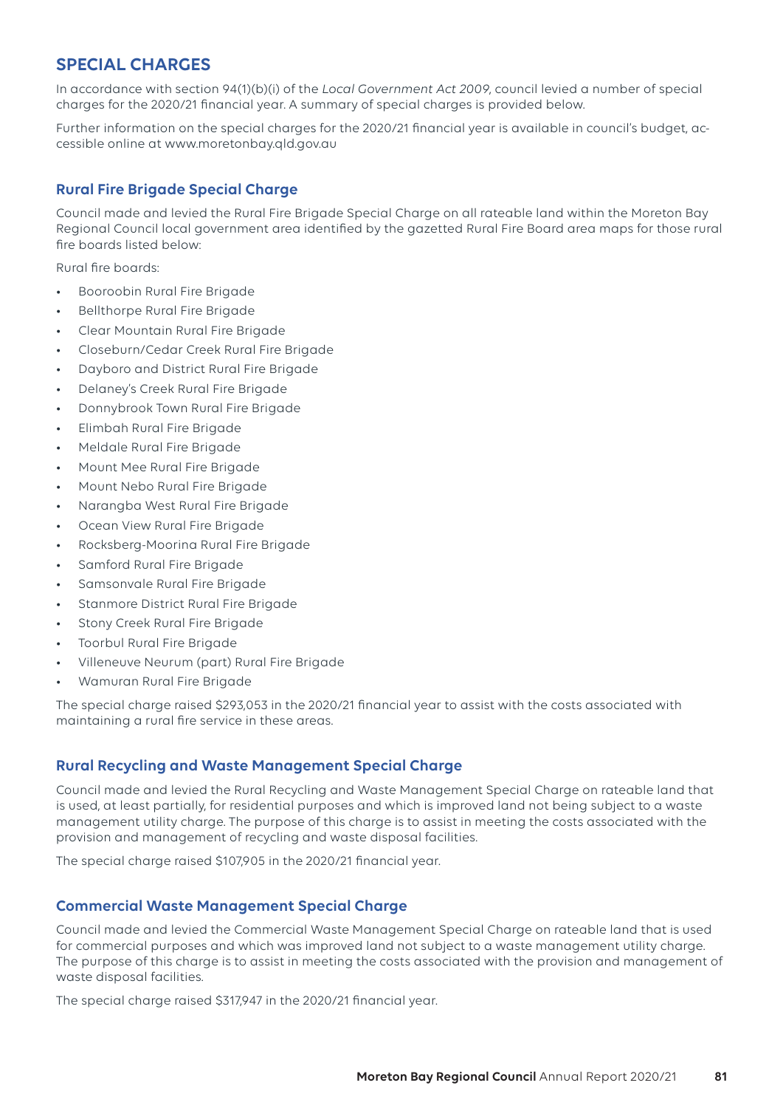## **SPECIAL CHARGES**

In accordance with section 94(1)(b)(i) of the *Local Government Act 2009*, council levied a number of special charges for the 2020/21 financial year. A summary of special charges is provided below.

Further information on the special charges for the 2020/21 financial year is available in council's budget, accessible online at www.moretonbay.qld.gov.au

## **Rural Fire Brigade Special Charge**

Council made and levied the Rural Fire Brigade Special Charge on all rateable land within the Moreton Bay Regional Council local government area identified by the gazetted Rural Fire Board area maps for those rural fire boards listed below:

Rural fire boards:

- Booroobin Rural Fire Brigade
- Bellthorpe Rural Fire Brigade
- Clear Mountain Rural Fire Brigade
- Closeburn/Cedar Creek Rural Fire Brigade
- Dayboro and District Rural Fire Brigade
- Delaney's Creek Rural Fire Brigade
- Donnybrook Town Rural Fire Brigade
- Elimbah Rural Fire Brigade
- Meldale Rural Fire Brigade
- Mount Mee Rural Fire Brigade
- Mount Nebo Rural Fire Brigade
- Narangba West Rural Fire Brigade
- Ocean View Rural Fire Brigade
- Rocksberg-Moorina Rural Fire Brigade
- Samford Rural Fire Brigade
- Samsonvale Rural Fire Brigade
- Stanmore District Rural Fire Brigade
- Stony Creek Rural Fire Brigade
- Toorbul Rural Fire Brigade
- Villeneuve Neurum (part) Rural Fire Brigade
- Wamuran Rural Fire Brigade

The special charge raised \$293,053 in the 2020/21 financial year to assist with the costs associated with maintaining a rural fire service in these areas.

## **Rural Recycling and Waste Management Special Charge**

Council made and levied the Rural Recycling and Waste Management Special Charge on rateable land that is used, at least partially, for residential purposes and which is improved land not being subject to a waste management utility charge. The purpose of this charge is to assist in meeting the costs associated with the provision and management of recycling and waste disposal facilities.

The special charge raised \$107,905 in the 2020/21 financial year.

## **Commercial Waste Management Special Charge**

Council made and levied the Commercial Waste Management Special Charge on rateable land that is used for commercial purposes and which was improved land not subject to a waste management utility charge. The purpose of this charge is to assist in meeting the costs associated with the provision and management of waste disposal facilities.

The special charge raised \$317,947 in the 2020/21 financial year.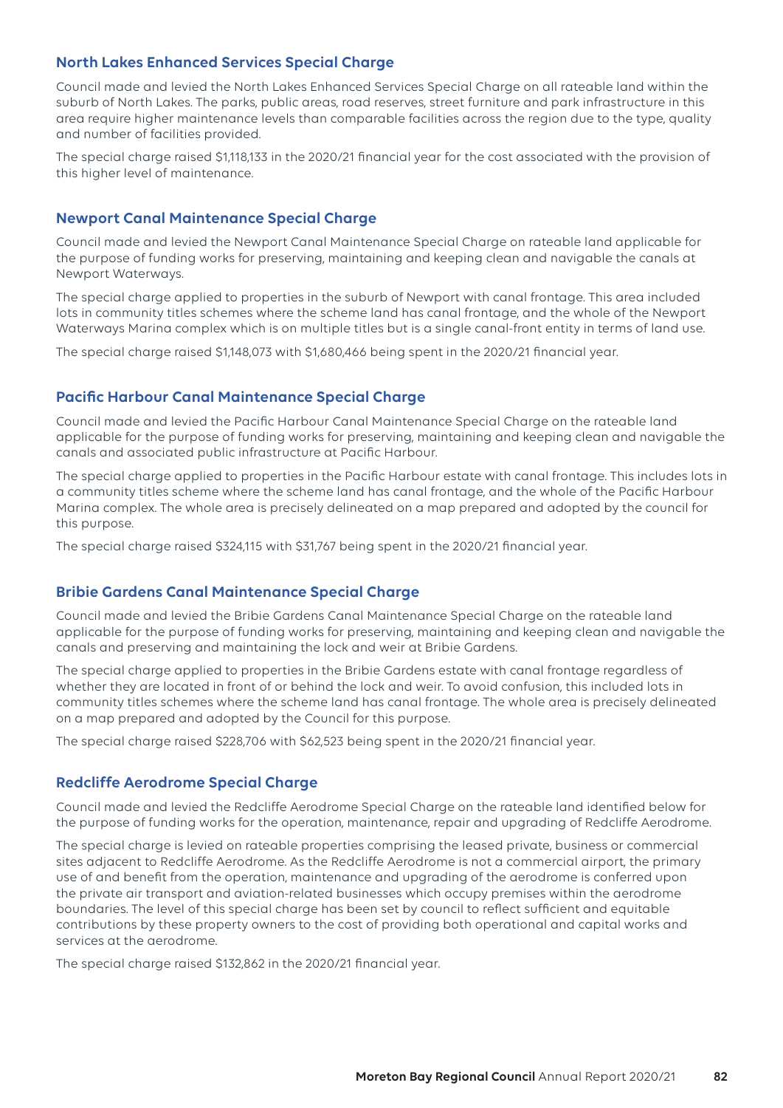## **North Lakes Enhanced Services Special Charge**

Council made and levied the North Lakes Enhanced Services Special Charge on all rateable land within the suburb of North Lakes. The parks, public areas, road reserves, street furniture and park infrastructure in this area require higher maintenance levels than comparable facilities across the region due to the type, quality and number of facilities provided.

The special charge raised \$1,118,133 in the 2020/21 financial year for the cost associated with the provision of this higher level of maintenance.

#### **Newport Canal Maintenance Special Charge**

Council made and levied the Newport Canal Maintenance Special Charge on rateable land applicable for the purpose of funding works for preserving, maintaining and keeping clean and navigable the canals at Newport Waterways.

The special charge applied to properties in the suburb of Newport with canal frontage. This area included lots in community titles schemes where the scheme land has canal frontage, and the whole of the Newport Waterways Marina complex which is on multiple titles but is a single canal-front entity in terms of land use.

The special charge raised \$1,148,073 with \$1,680,466 being spent in the 2020/21 financial year.

#### **Pacific Harbour Canal Maintenance Special Charge**

Council made and levied the Pacific Harbour Canal Maintenance Special Charge on the rateable land applicable for the purpose of funding works for preserving, maintaining and keeping clean and navigable the canals and associated public infrastructure at Pacific Harbour.

The special charge applied to properties in the Pacific Harbour estate with canal frontage. This includes lots in a community titles scheme where the scheme land has canal frontage, and the whole of the Pacific Harbour Marina complex. The whole area is precisely delineated on a map prepared and adopted by the council for this purpose.

The special charge raised \$324,115 with \$31,767 being spent in the 2020/21 financial year.

#### **Bribie Gardens Canal Maintenance Special Charge**

Council made and levied the Bribie Gardens Canal Maintenance Special Charge on the rateable land applicable for the purpose of funding works for preserving, maintaining and keeping clean and navigable the canals and preserving and maintaining the lock and weir at Bribie Gardens.

The special charge applied to properties in the Bribie Gardens estate with canal frontage regardless of whether they are located in front of or behind the lock and weir. To avoid confusion, this included lots in community titles schemes where the scheme land has canal frontage. The whole area is precisely delineated on a map prepared and adopted by the Council for this purpose.

The special charge raised \$228,706 with \$62,523 being spent in the 2020/21 financial year.

#### **Redcliffe Aerodrome Special Charge**

Council made and levied the Redcliffe Aerodrome Special Charge on the rateable land identified below for the purpose of funding works for the operation, maintenance, repair and upgrading of Redcliffe Aerodrome.

The special charge is levied on rateable properties comprising the leased private, business or commercial sites adjacent to Redcliffe Aerodrome. As the Redcliffe Aerodrome is not a commercial airport, the primary use of and benefit from the operation, maintenance and upgrading of the aerodrome is conferred upon the private air transport and aviation-related businesses which occupy premises within the aerodrome boundaries. The level of this special charge has been set by council to reflect sufficient and equitable contributions by these property owners to the cost of providing both operational and capital works and services at the aerodrome.

The special charge raised \$132,862 in the 2020/21 financial year.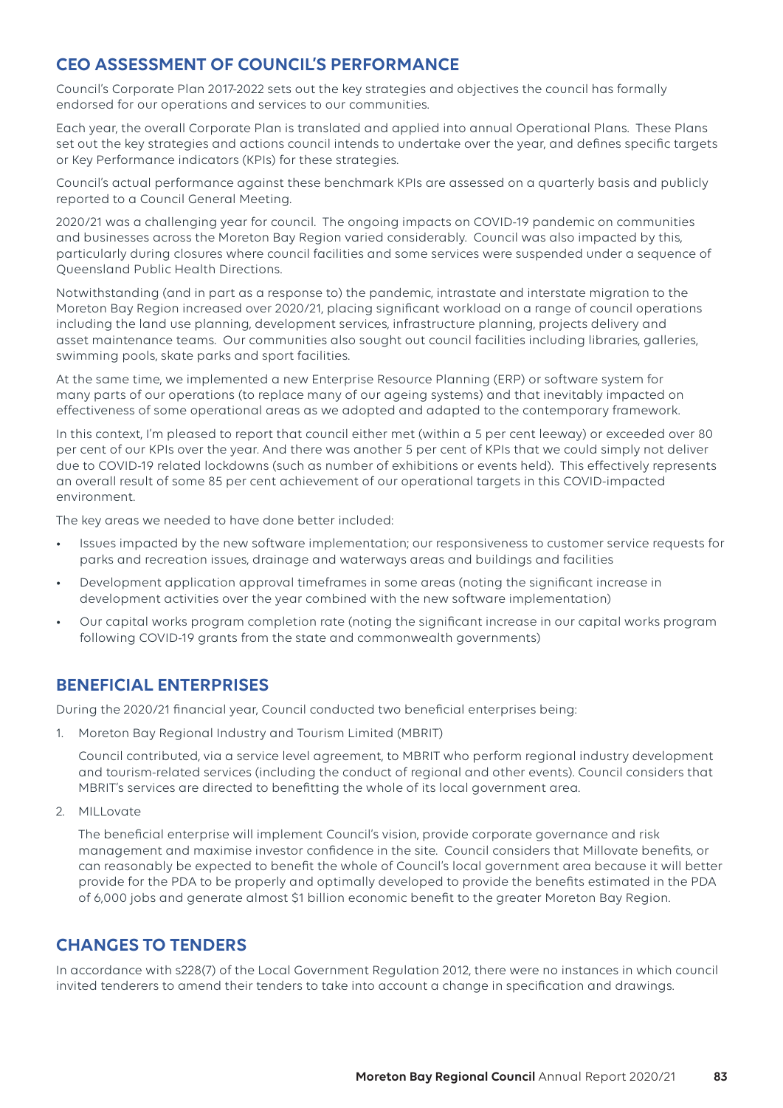# **CEO ASSESSMENT OF COUNCIL'S PERFORMANCE**

Council's Corporate Plan 2017-2022 sets out the key strategies and objectives the council has formally endorsed for our operations and services to our communities.

Each year, the overall Corporate Plan is translated and applied into annual Operational Plans. These Plans set out the key strategies and actions council intends to undertake over the year, and defines specific targets or Key Performance indicators (KPIs) for these strategies.

Council's actual performance against these benchmark KPIs are assessed on a quarterly basis and publicly reported to a Council General Meeting.

2020/21 was a challenging year for council. The ongoing impacts on COVID-19 pandemic on communities and businesses across the Moreton Bay Region varied considerably. Council was also impacted by this, particularly during closures where council facilities and some services were suspended under a sequence of Queensland Public Health Directions.

Notwithstanding (and in part as a response to) the pandemic, intrastate and interstate migration to the Moreton Bay Region increased over 2020/21, placing significant workload on a range of council operations including the land use planning, development services, infrastructure planning, projects delivery and asset maintenance teams. Our communities also sought out council facilities including libraries, galleries, swimming pools, skate parks and sport facilities.

At the same time, we implemented a new Enterprise Resource Planning (ERP) or software system for many parts of our operations (to replace many of our ageing systems) and that inevitably impacted on effectiveness of some operational areas as we adopted and adapted to the contemporary framework.

In this context, I'm pleased to report that council either met (within a 5 per cent leeway) or exceeded over 80 per cent of our KPIs over the year. And there was another 5 per cent of KPIs that we could simply not deliver due to COVID-19 related lockdowns (such as number of exhibitions or events held). This effectively represents an overall result of some 85 per cent achievement of our operational targets in this COVID-impacted environment.

The key areas we needed to have done better included:

- Issues impacted by the new software implementation; our responsiveness to customer service requests for parks and recreation issues, drainage and waterways areas and buildings and facilities
- Development application approval timeframes in some areas (noting the significant increase in development activities over the year combined with the new software implementation)
- Our capital works program completion rate (noting the significant increase in our capital works program following COVID-19 grants from the state and commonwealth governments)

## **BENEFICIAL ENTERPRISES**

During the 2020/21 financial year, Council conducted two beneficial enterprises being:

1. Moreton Bay Regional Industry and Tourism Limited (MBRIT)

Council contributed, via a service level agreement, to MBRIT who perform regional industry development and tourism-related services (including the conduct of regional and other events). Council considers that MBRIT's services are directed to benefitting the whole of its local government area.

2. MILLovate

The beneficial enterprise will implement Council's vision, provide corporate governance and risk management and maximise investor confidence in the site. Council considers that Millovate benefits, or can reasonably be expected to benefit the whole of Council's local government area because it will better provide for the PDA to be properly and optimally developed to provide the benefits estimated in the PDA of 6,000 jobs and generate almost \$1 billion economic benefit to the greater Moreton Bay Region.

## **CHANGES TO TENDERS**

In accordance with s228(7) of the Local Government Regulation 2012, there were no instances in which council invited tenderers to amend their tenders to take into account a change in specification and drawings.